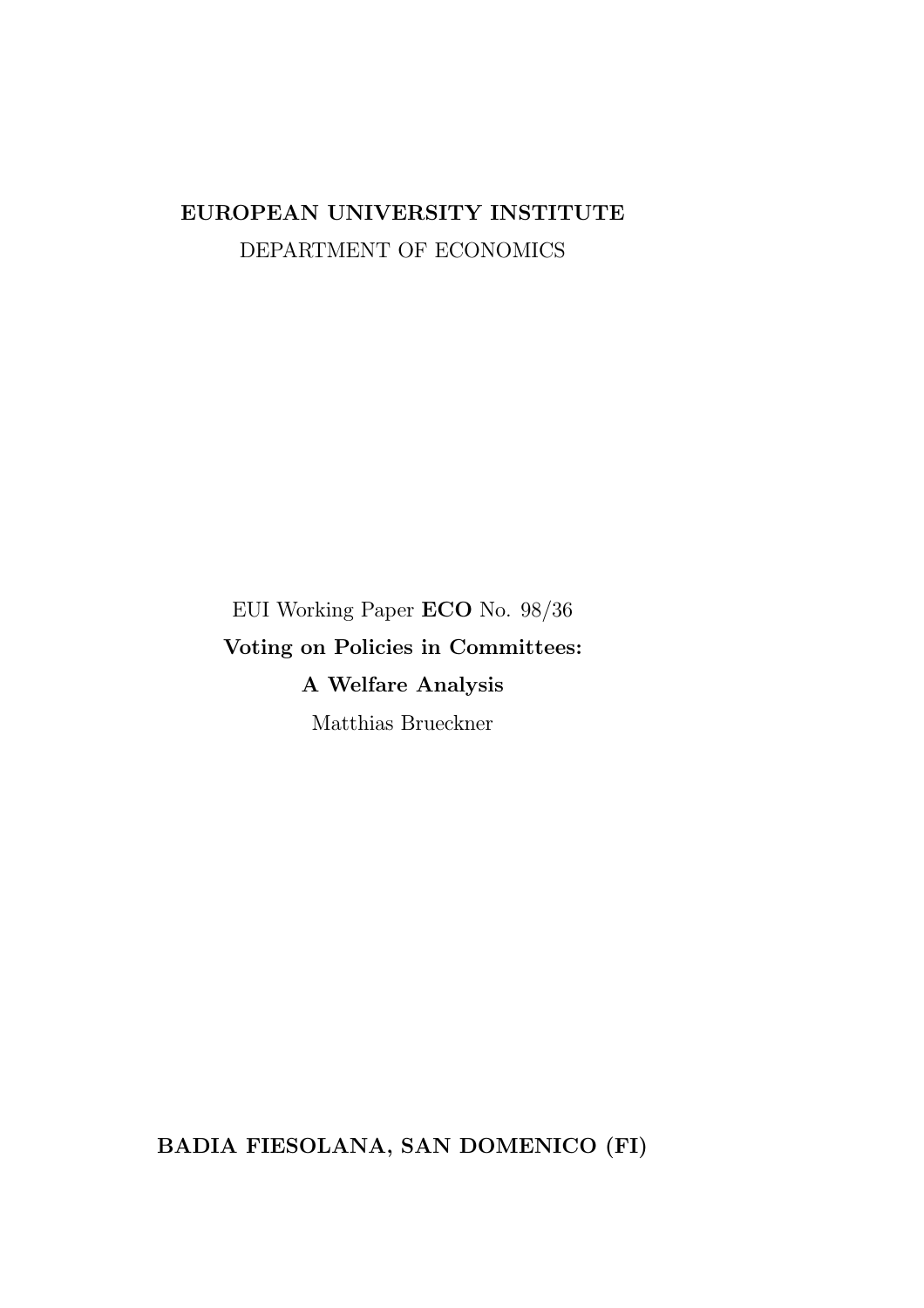### EUROPEAN UNIVERSITY INSTITUTE DEPARTMENT OF ECONOMICS

EUI Working Paper ECO No. 98/36 Voting on Policies in Committees: A Welfare Analysis Matthias Brueckner

BADIA FIESOLANA, SAN DOMENICO (FI)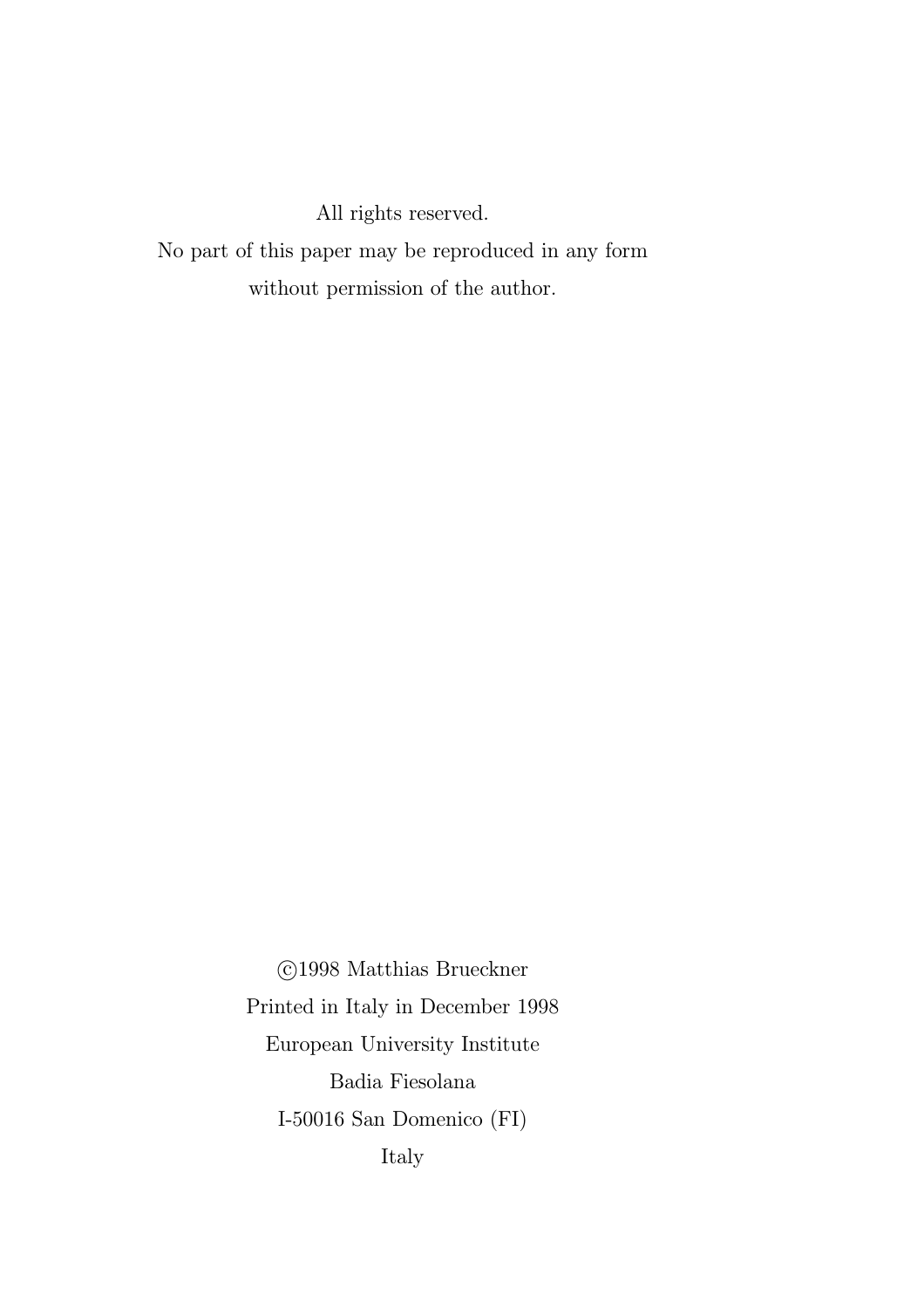All rights reserved.

No part of this paper may be reproduced in any form without permission of the author.

> °c 1998 Matthias Brueckner Printed in Italy in December 1998 European University Institute Badia Fiesolana I-50016 San Domenico (FI) Italy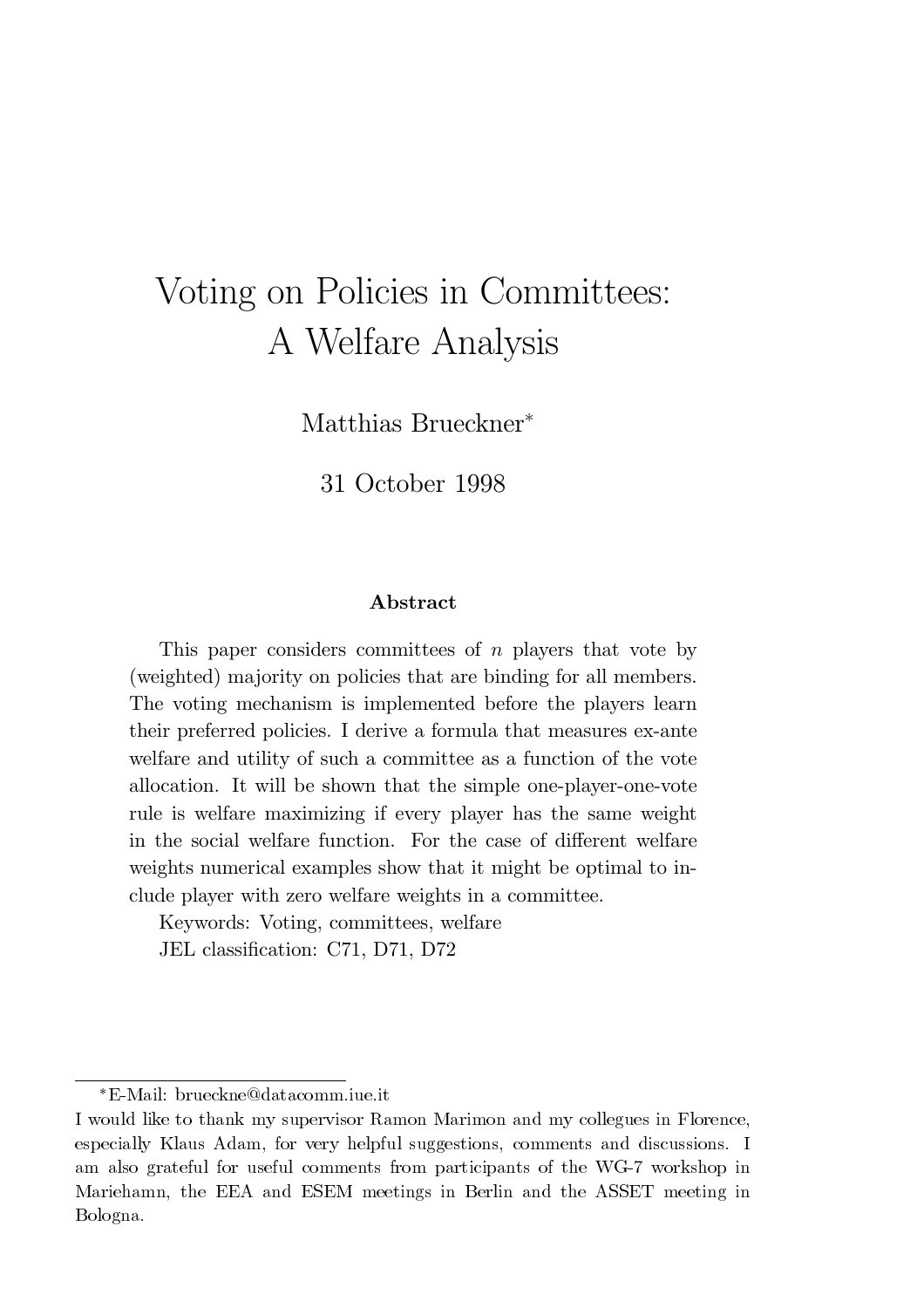# Voting on Policies in Committees: A Welfare Analysis

Matthias Brueckner<sup>\*</sup>

31 October 1998

#### Abstract

This paper considers committees of n players that vote by (weighted) majority on policies that are binding for all members. The voting mechanism is implemented before the players learn their preferred policies. I derive a formula that measures ex-ante welfare and utility of such a committee as a function of the vote allocation. It will be shown that the simple one-player-one-vote rule is welfare maximizing if every player has the same weight in the social welfare function. For the case of different welfare weights numerical examples show that it might be optimal to include player with zero welfare weights in a committee.

Keywords: Voting, committees, welfare JEL classification: C71, D71, D72

<sup>¤</sup>E-Mail: brueckne@datacomm.iue.it

I would like to thank my supervisor Ramon Marimon and my collegues in Florence, especially Klaus Adam, for very helpful suggestions, comments and discussions. I am also grateful for useful comments from participants of the WG-7 workshop in Mariehamn, the EEA and ESEM meetings in Berlin and the ASSET meeting in Bologna.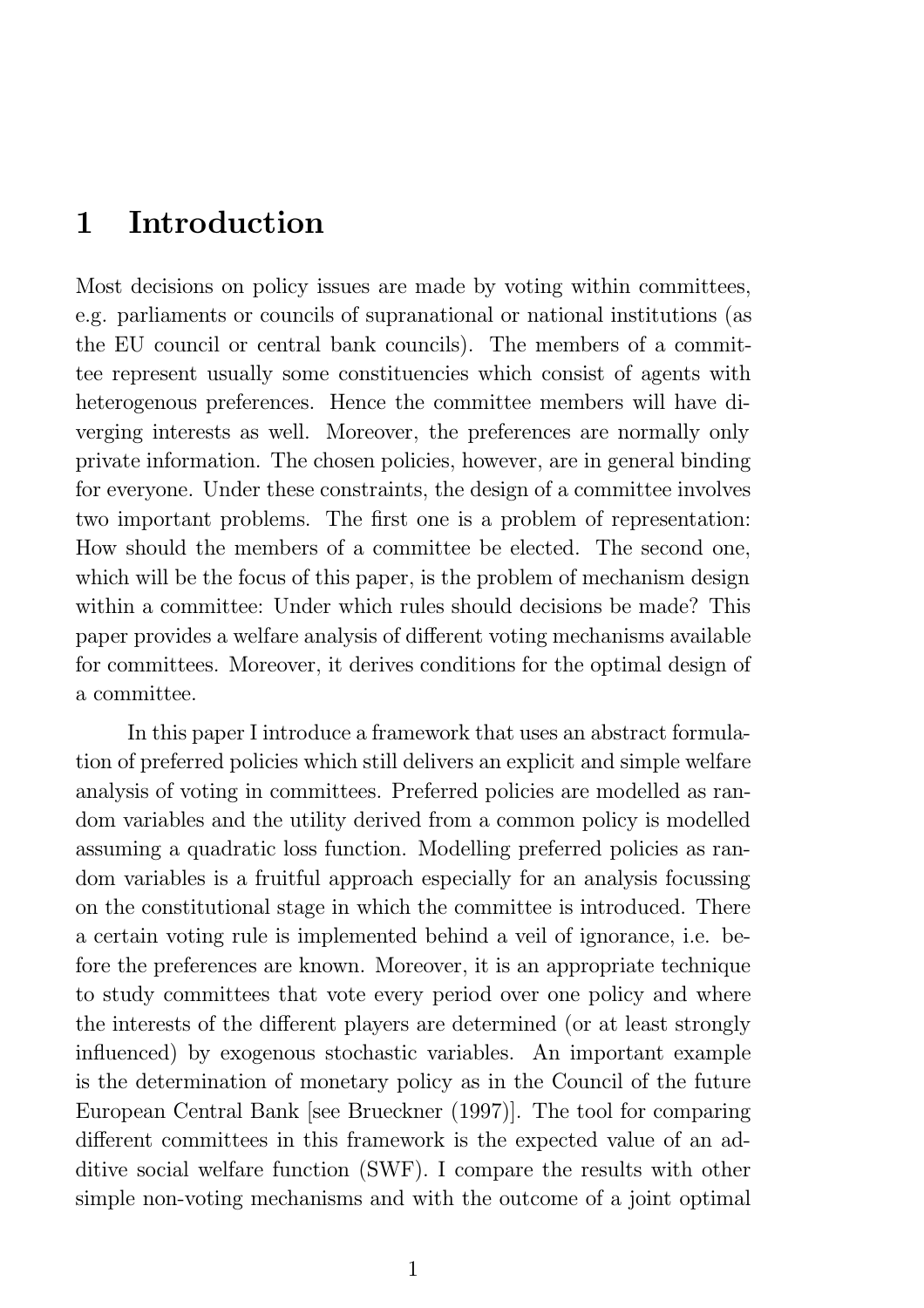## 1 Introduction

Most decisions on policy issues are made by voting within committees, e.g. parliaments or councils of supranational or national institutions (as the EU council or central bank councils). The members of a committee represent usually some constituencies which consist of agents with heterogenous preferences. Hence the committee members will have diverging interests as well. Moreover, the preferences are normally only private information. The chosen policies, however, are in general binding for everyone. Under these constraints, the design of a committee involves two important problems. The first one is a problem of representation: How should the members of a committee be elected. The second one, which will be the focus of this paper, is the problem of mechanism design within a committee: Under which rules should decisions be made? This paper provides a welfare analysis of different voting mechanisms available for committees. Moreover, it derives conditions for the optimal design of a committee.

In this paper I introduce a framework that uses an abstract formulation of preferred policies which still delivers an explicit and simple welfare analysis of voting in committees. Preferred policies are modelled as random variables and the utility derived from a common policy is modelled assuming a quadratic loss function. Modelling preferred policies as random variables is a fruitful approach especially for an analysis focussing on the constitutional stage in which the committee is introduced. There a certain voting rule is implemented behind a veil of ignorance, i.e. before the preferences are known. Moreover, it is an appropriate technique to study committees that vote every period over one policy and where the interests of the different players are determined (or at least strongly influenced) by exogenous stochastic variables. An important example is the determination of monetary policy as in the Council of the future European Central Bank [see Brueckner (1997)]. The tool for comparing different committees in this framework is the expected value of an additive social welfare function (SWF). I compare the results with other simple non-voting mechanisms and with the outcome of a joint optimal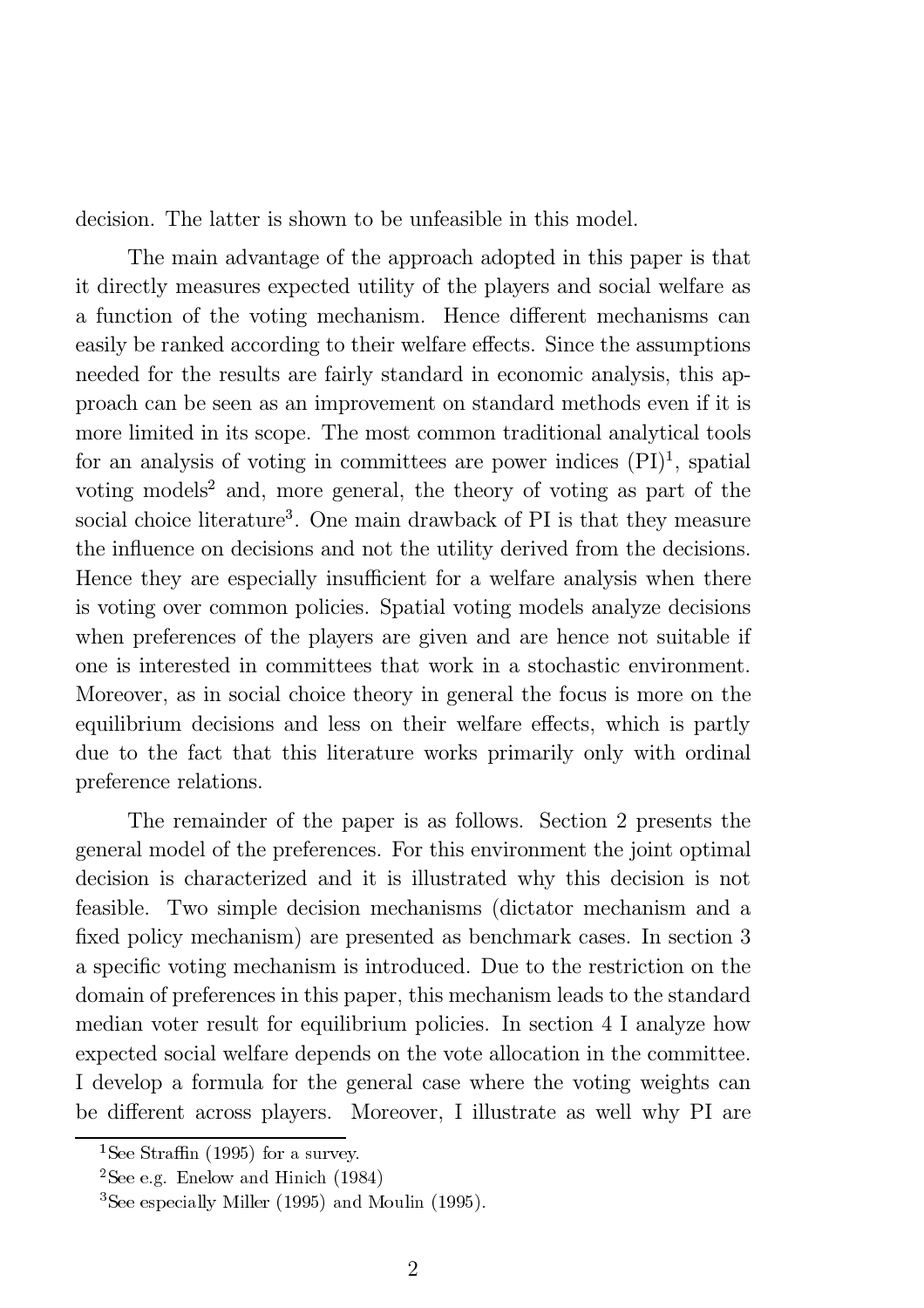decision. The latter is shown to be unfeasible in this model.

The main advantage of the approach adopted in this paper is that it directly measures expected utility of the players and social welfare as a function of the voting mechanism. Hence different mechanisms can easily be ranked according to their welfare effects. Since the assumptions needed for the results are fairly standard in economic analysis, this approach can be seen as an improvement on standard methods even if it is more limited in its scope. The most common traditional analytical tools for an analysis of voting in committees are power indices  $(PI)^1$ , spatial voting models<sup>2</sup> and, more general, the theory of voting as part of the social choice literature<sup>3</sup>. One main drawback of PI is that they measure the influence on decisions and not the utility derived from the decisions. Hence they are especially insufficient for a welfare analysis when there is voting over common policies. Spatial voting models analyze decisions when preferences of the players are given and are hence not suitable if one is interested in committees that work in a stochastic environment. Moreover, as in social choice theory in general the focus is more on the equilibrium decisions and less on their welfare effects, which is partly due to the fact that this literature works primarily only with ordinal preference relations.

The remainder of the paper is as follows. Section 2 presents the general model of the preferences. For this environment the joint optimal decision is characterized and it is illustrated why this decision is not feasible. Two simple decision mechanisms (dictator mechanism and a fixed policy mechanism) are presented as benchmark cases. In section 3 a specific voting mechanism is introduced. Due to the restriction on the domain of preferences in this paper, this mechanism leads to the standard median voter result for equilibrium policies. In section 4 I analyze how expected social welfare depends on the vote allocation in the committee. I develop a formula for the general case where the voting weights can be different across players. Moreover, I illustrate as well why PI are

<sup>&</sup>lt;sup>1</sup>See Straffin (1995) for a survey.

<sup>&</sup>lt;sup>2</sup>See e.g. Enelow and Hinich  $(1984)$ 

<sup>3</sup>See especially Miller (1995) and Moulin (1995).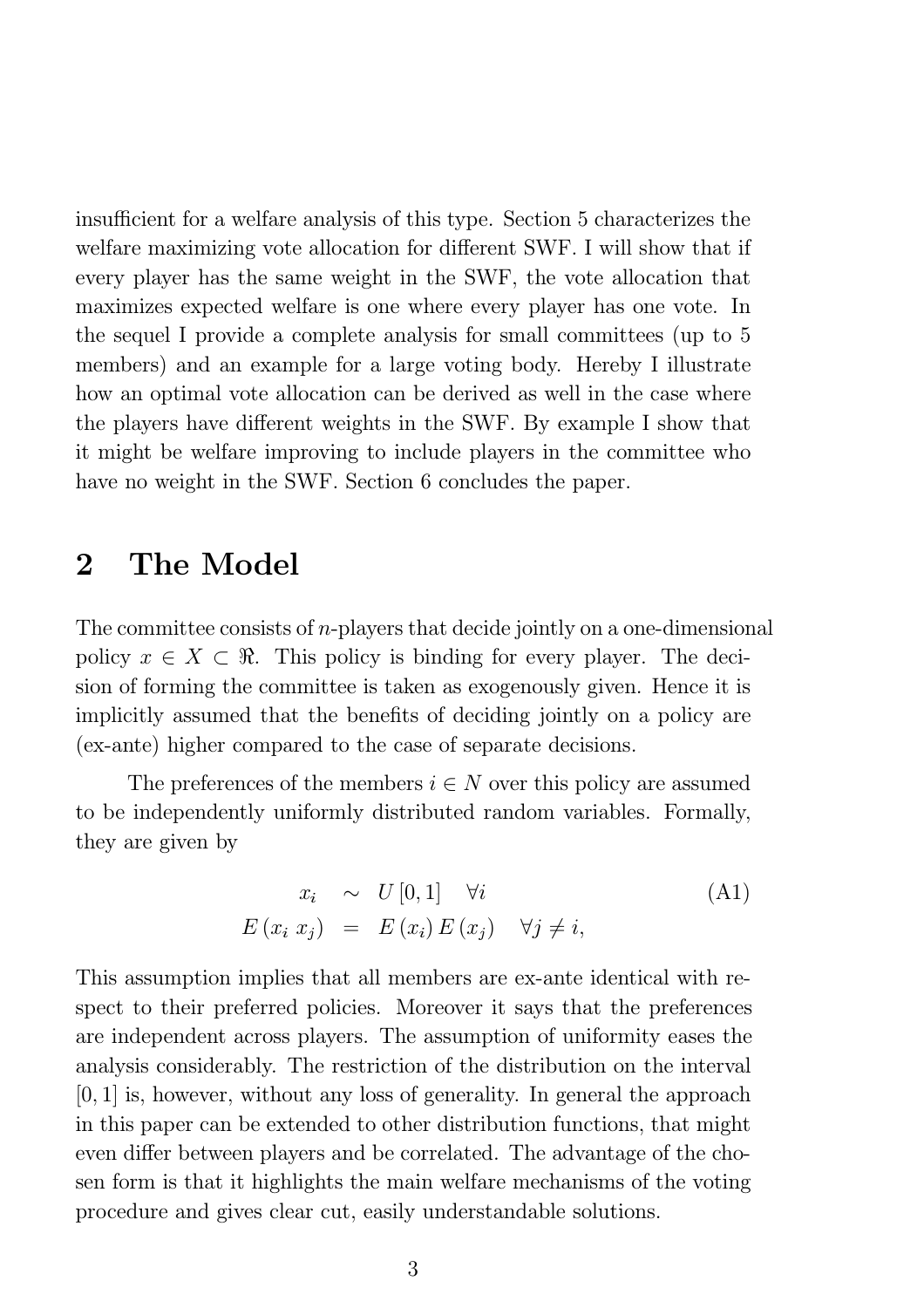insufficient for a welfare analysis of this type. Section 5 characterizes the welfare maximizing vote allocation for different SWF. I will show that if every player has the same weight in the SWF, the vote allocation that maximizes expected welfare is one where every player has one vote. In the sequel I provide a complete analysis for small committees (up to 5 members) and an example for a large voting body. Hereby I illustrate how an optimal vote allocation can be derived as well in the case where the players have different weights in the SWF. By example I show that it might be welfare improving to include players in the committee who have no weight in the SWF. Section 6 concludes the paper.

### 2 The Model

The committee consists of  $n$ -players that decide jointly on a one-dimensional policy  $x \in X \subset \mathbb{R}$ . This policy is binding for every player. The decision of forming the committee is taken as exogenously given. Hence it is implicitly assumed that the benefits of deciding jointly on a policy are (ex-ante) higher compared to the case of separate decisions.

The preferences of the members  $i \in N$  over this policy are assumed to be independently uniformly distributed random variables. Formally, they are given by

$$
x_i \sim U[0,1] \quad \forall i
$$
  
\n
$$
E(x_i x_j) = E(x_i) E(x_j) \quad \forall j \neq i,
$$
\n(A1)

This assumption implies that all members are ex-ante identical with respect to their preferred policies. Moreover it says that the preferences are independent across players. The assumption of uniformity eases the analysis considerably. The restriction of the distribution on the interval  $[0, 1]$  is, however, without any loss of generality. In general the approach in this paper can be extended to other distribution functions, that might even differ between players and be correlated. The advantage of the chosen form is that it highlights the main welfare mechanisms of the voting procedure and gives clear cut, easily understandable solutions.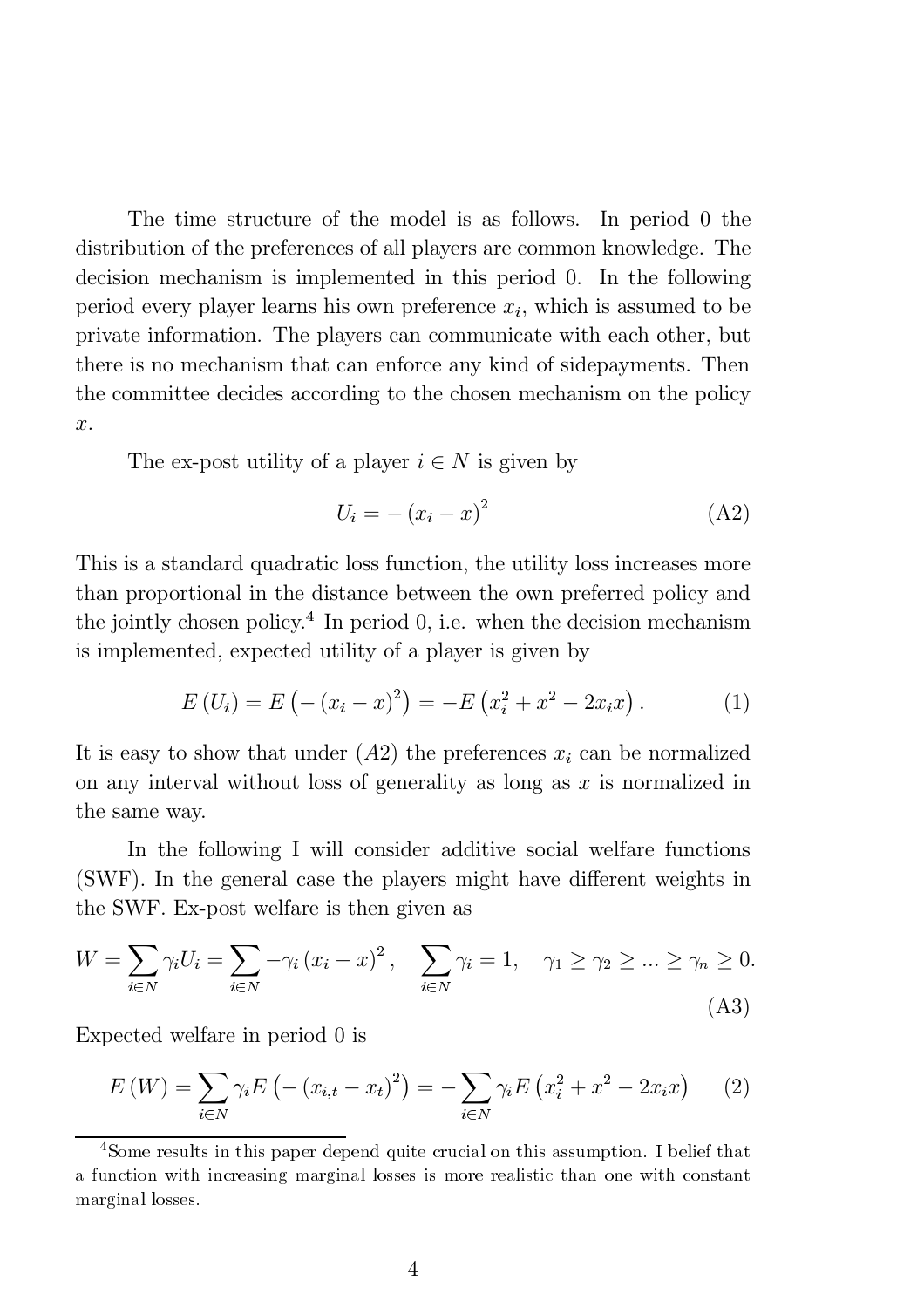The time structure of the model is as follows. In period 0 the distribution of the preferences of all players are common knowledge. The decision mechanism is implemented in this period 0. In the following period every player learns his own preference  $x_i$ , which is assumed to be private information. The players can communicate with each other, but there is no mechanism that can enforce any kind of sidepayments. Then the committee decides according to the chosen mechanism on the policy  $\hat{x}$ .

The ex-post utility of a player  $i \in N$  is given by

$$
U_i = -\left(x_i - x\right)^2\tag{A2}
$$

This is a standard quadratic loss function, the utility loss increases more than proportional in the distance between the own preferred policy and the jointly chosen policy.<sup>4</sup> In period 0, i.e. when the decision mechanism is implemented, expected utility of a player is given by

$$
E(U_i) = E(- (x_i - x)^2) = -E(x_i^2 + x^2 - 2x_ix).
$$
 (1)

It is easy to show that under  $(A2)$  the preferences  $x_i$  can be normalized on any interval without loss of generality as long as  $x$  is normalized in the same way.

In the following I will consider additive social welfare functions (SWF). In the general case the players might have different weights in the SWF. Ex-post welfare is then given as

$$
W = \sum_{i \in N} \gamma_i U_i = \sum_{i \in N} -\gamma_i (x_i - x)^2, \quad \sum_{i \in N} \gamma_i = 1, \quad \gamma_1 \ge \gamma_2 \ge \dots \ge \gamma_n \ge 0.
$$
\n(A3)

Expected welfare in period 0 is

$$
E(W) = \sum_{i \in N} \gamma_i E\left(-\left(x_{i,t} - x_t\right)^2\right) = -\sum_{i \in N} \gamma_i E\left(x_i^2 + x^2 - 2x_i x\right) \tag{2}
$$

<sup>&</sup>lt;sup>4</sup>Some results in this paper depend quite crucial on this assumption. I belief that a function with increasing marginal losses is more realistic than one with constant marginal losses.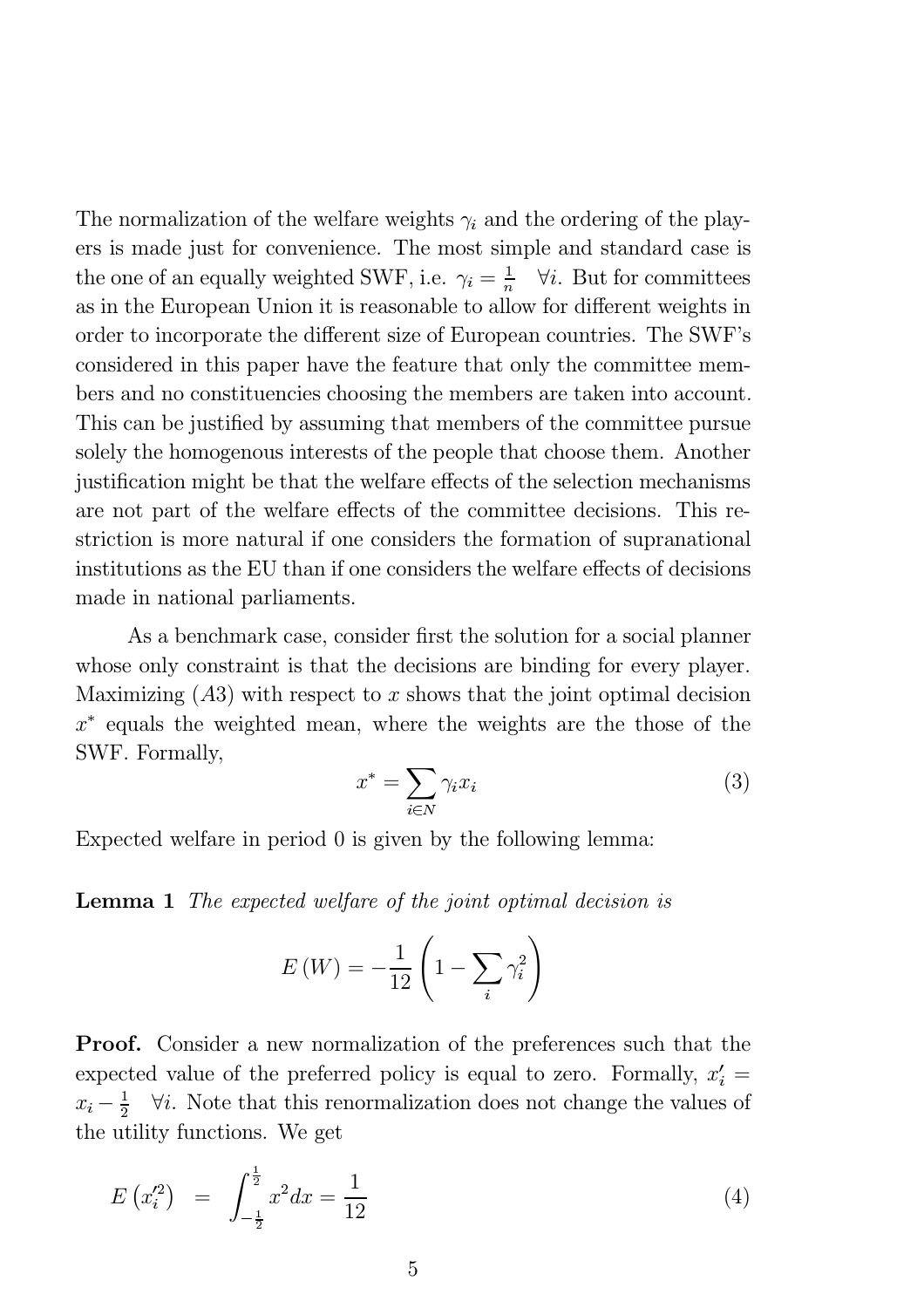The normalization of the welfare weights  $\gamma_i$  and the ordering of the players is made just for convenience. The most simple and standard case is the one of an equally weighted SWF, i.e.  $\gamma_i = \frac{1}{n}$   $\forall i$ . But for committees as in the European Union it is reasonable to allow for different weights in order to incorporate the different size of European countries. The SWF's considered in this paper have the feature that only the committee members and no constituencies choosing the members are taken into account. This can be justified by assuming that members of the committee pursue solely the homogenous interests of the people that choose them. Another justification might be that the welfare effects of the selection mechanisms are not part of the welfare effects of the committee decisions. This restriction is more natural if one considers the formation of supranational institutions as the EU than if one considers the welfare effects of decisions made in national parliaments.

As a benchmark case, consider first the solution for a social planner whose only constraint is that the decisions are binding for every player. Maximizing  $(A3)$  with respect to x shows that the joint optimal decision  $x^*$  equals the weighted mean, where the weights are the those of the SWF. Formally,

$$
x^* = \sum_{i \in N} \gamma_i x_i \tag{3}
$$

Expected welfare in period 0 is given by the following lemma:

Lemma 1 The expected welfare of the joint optimal decision is

$$
E\left(W\right) = -\frac{1}{12}\left(1 - \sum_{i} \gamma_i^2\right)
$$

Proof. Consider a new normalization of the preferences such that the expected value of the preferred policy is equal to zero. Formally,  $x_i' =$  $x_i - \frac{1}{2}$   $\forall i$ . Note that this renormalization does not change the values of the utility functions. We get

$$
E(x_i^2) = \int_{-\frac{1}{2}}^{\frac{1}{2}} x^2 dx = \frac{1}{12}
$$
 (4)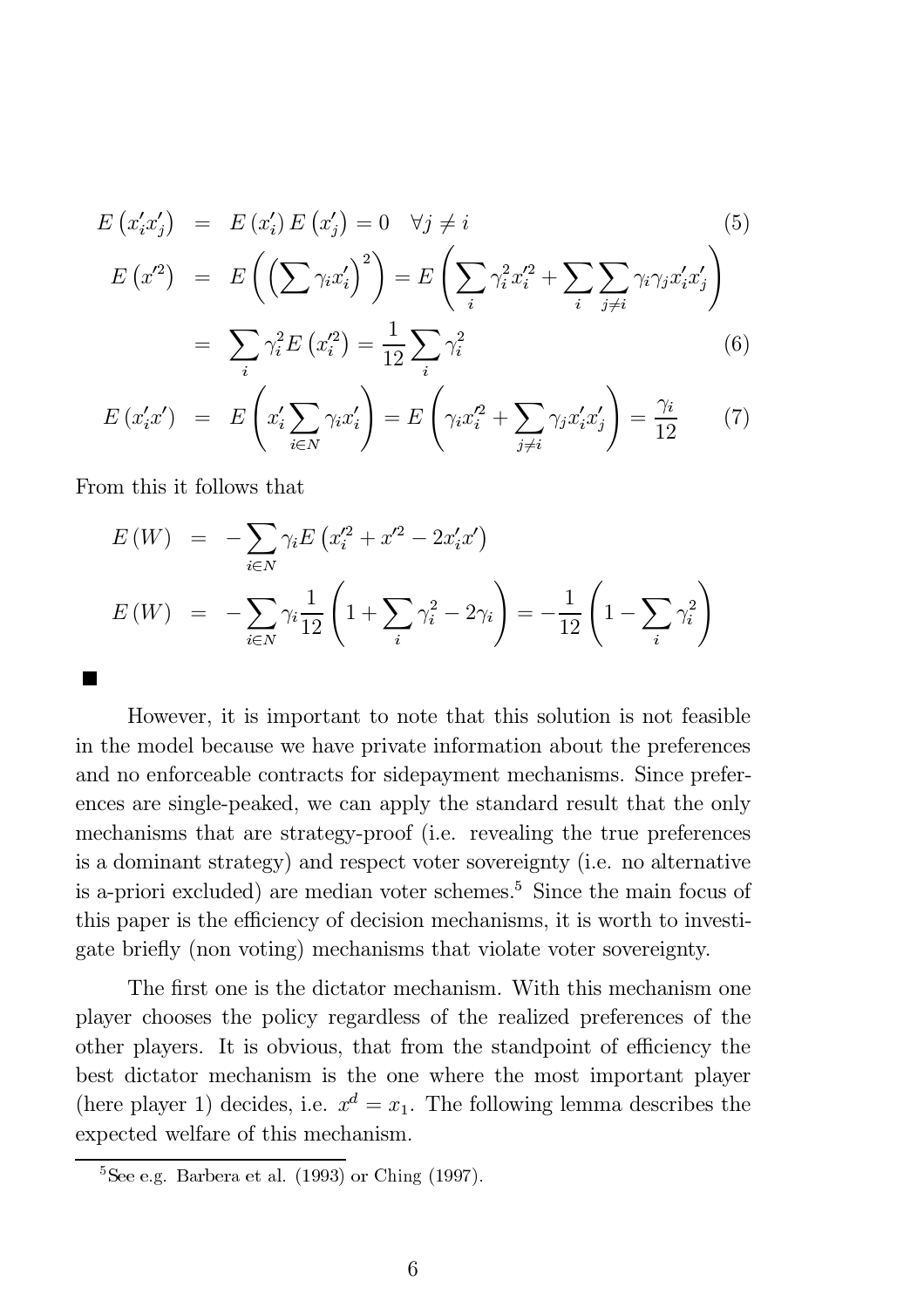$$
E(x'_i x'_j) = E(x'_i) E(x'_j) = 0 \quad \forall j \neq i
$$
  
\n
$$
E(x'^2) = E\left(\left(\sum \gamma_i x'_i\right)^2\right) = E\left(\sum_i \gamma_i^2 x'^2_i + \sum_i \sum_{j \neq i} \gamma_i \gamma_j x'_i x'_j\right)
$$
  
\n
$$
= \sum_i \gamma_i^2 E(x'^2_i) = \frac{1}{12} \sum_i \gamma_i^2
$$
\n(6)

$$
E(x'_ix') = E\left(x'_i \sum_{i \in N} \gamma_i x'_i\right) = E\left(\gamma_i x'^2_i + \sum_{j \neq i} \gamma_j x'_i x'_j\right) = \frac{\gamma_i}{12} \tag{7}
$$

From this it follows that

$$
E(W) = -\sum_{i \in N} \gamma_i E\left(x_i'^2 + x'^2 - 2x_i' x'\right)
$$
  

$$
E(W) = -\sum_{i \in N} \gamma_i \frac{1}{12} \left(1 + \sum_i \gamma_i^2 - 2\gamma_i\right) = -\frac{1}{12} \left(1 - \sum_i \gamma_i^2\right)
$$

However, it is important to note that this solution is not feasible in the model because we have private information about the preferences and no enforceable contracts for sidepayment mechanisms. Since preferences are single-peaked, we can apply the standard result that the only mechanisms that are strategy-proof (i.e. revealing the true preferences is a dominant strategy) and respect voter sovereignty (i.e. no alternative is a-priori excluded) are median voter schemes.<sup>5</sup> Since the main focus of this paper is the efficiency of decision mechanisms, it is worth to investigate briefly (non voting) mechanisms that violate voter sovereignty.

The first one is the dictator mechanism. With this mechanism one player chooses the policy regardless of the realized preferences of the other players. It is obvious, that from the standpoint of efficiency the best dictator mechanism is the one where the most important player (here player 1) decides, i.e.  $x^d = x_1$ . The following lemma describes the expected welfare of this mechanism.

 $5$ See e.g. Barbera et al.  $(1993)$  or Ching  $(1997)$ .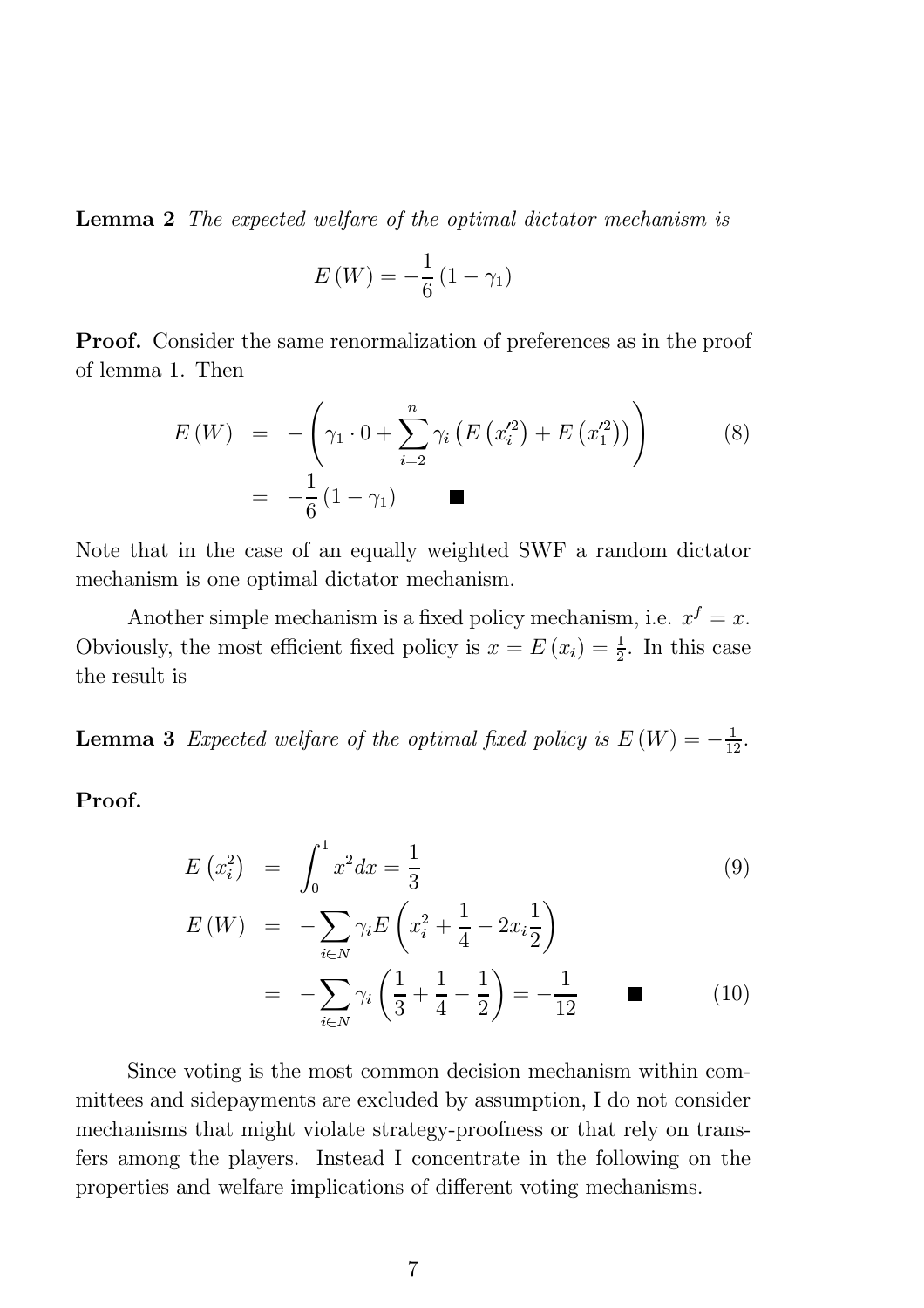Lemma 2 The expected welfare of the optimal dictator mechanism is

$$
E\left(W\right) = -\frac{1}{6}\left(1 - \gamma_1\right)
$$

**Proof.** Consider the same renormalization of preferences as in the proof of lemma 1. Then

$$
E(W) = -\left(\gamma_1 \cdot 0 + \sum_{i=2}^n \gamma_i \left( E\left(x_i'^2\right) + E\left(x_1'^2\right) \right) \right) \tag{8}
$$

$$
= -\frac{1}{6} \left(1 - \gamma_1\right) \qquad \blacksquare
$$

Note that in the case of an equally weighted SWF a random dictator mechanism is one optimal dictator mechanism.

Another simple mechanism is a fixed policy mechanism, i.e.  $x^f = x$ . Obviously, the most efficient fixed policy is  $x = E(x_i) = \frac{1}{2}$ . In this case the result is

**Lemma 3** Expected welfare of the optimal fixed policy is  $E(W) = -\frac{1}{12}$ .

Proof.

$$
E(x_i^2) = \int_0^1 x^2 dx = \frac{1}{3}
$$
 (9)

$$
E(W) = -\sum_{i \in N} \gamma_i E\left(x_i^2 + \frac{1}{4} - 2x_i \frac{1}{2}\right)
$$
  
= 
$$
-\sum_{i \in N} \gamma_i \left(\frac{1}{3} + \frac{1}{4} - \frac{1}{2}\right) = -\frac{1}{12}
$$
 (10)

Since voting is the most common decision mechanism within committees and sidepayments are excluded by assumption, I do not consider mechanisms that might violate strategy-proofness or that rely on transfers among the players. Instead I concentrate in the following on the properties and welfare implications of different voting mechanisms.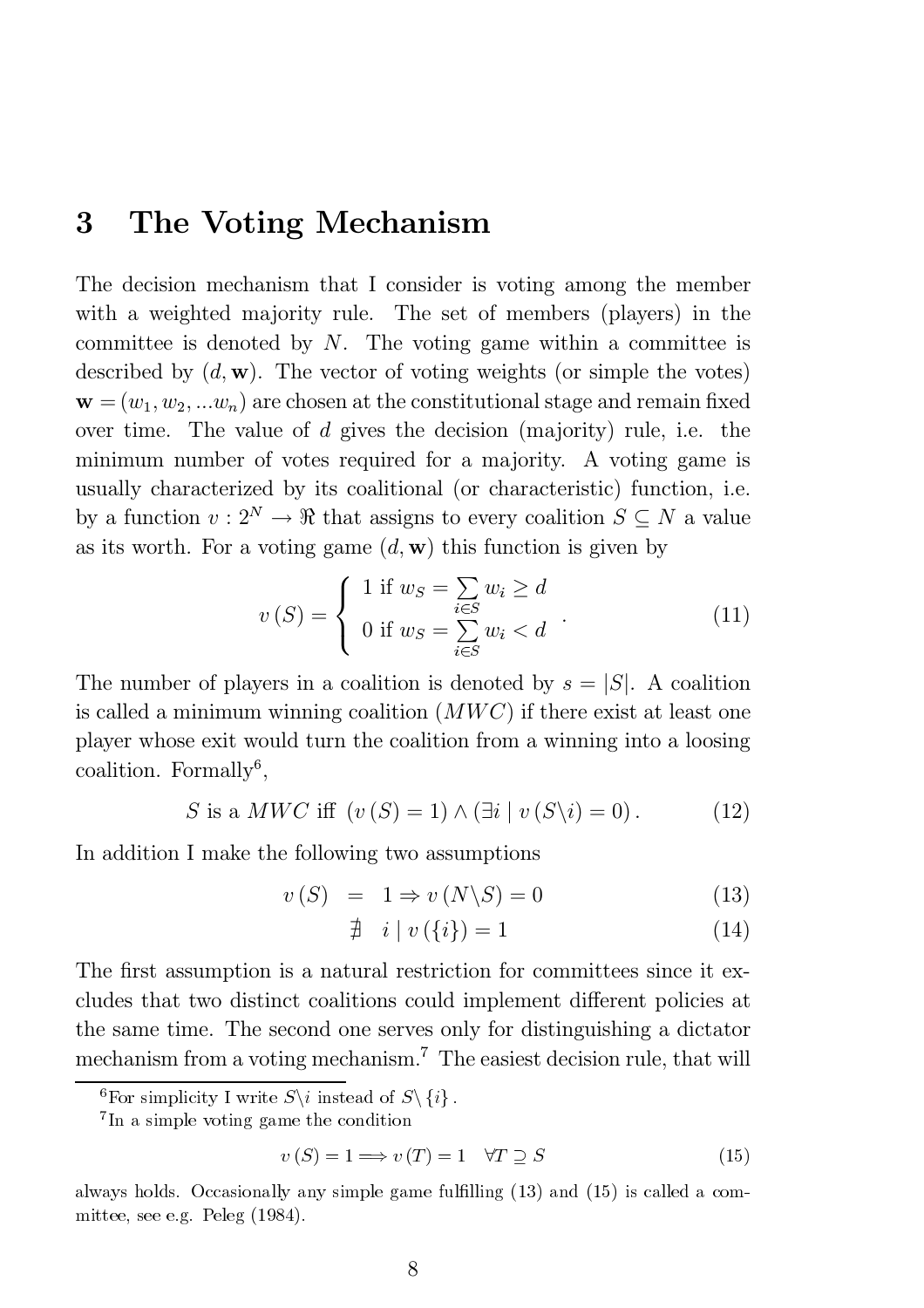### 3 The Voting Mechanism

The decision mechanism that I consider is voting among the member with a weighted majority rule. The set of members (players) in the committee is denoted by  $N$ . The voting game within a committee is described by  $(d, \mathbf{w})$ . The vector of voting weights (or simple the votes)  $\mathbf{w} = (w_1, w_2, ... w_n)$  are chosen at the constitutional stage and remain fixed over time. The value of d gives the decision (majority) rule, i.e. the minimum number of votes required for a majority. A voting game is usually characterized by its coalitional (or characteristic) function, i.e. by a function  $v: 2^N \to \mathbb{R}$  that assigns to every coalition  $S \subseteq N$  a value as its worth. For a voting game  $(d, \mathbf{w})$  this function is given by

$$
v(S) = \begin{cases} 1 \text{ if } w_S = \sum_{i \in S} w_i \ge d \\ 0 \text{ if } w_S = \sum_{i \in S} w_i < d \end{cases} \tag{11}
$$

The number of players in a coalition is denoted by  $s = |S|$ . A coalition is called a minimum winning coalition  $(MWC)$  if there exist at least one player whose exit would turn the coalition from a winning into a loosing coalition. Formally<sup>6</sup>,

S is a *MWC* iff 
$$
(v(S) = 1) \land (\exists i \mid v(S \setminus i) = 0)
$$
. (12)

In addition I make the following two assumptions

$$
v(S) = 1 \Rightarrow v(N \backslash S) = 0 \tag{13}
$$

$$
\nexists i \mid v(\{i\}) = 1 \tag{14}
$$

The first assumption is a natural restriction for committees since it excludes that two distinct coalitions could implement different policies at the same time. The second one serves only for distinguishing a dictator mechanism from a voting mechanism.<sup>7</sup> The easiest decision rule, that will

$$
v(S) = 1 \Longrightarrow v(T) = 1 \quad \forall T \supseteq S \tag{15}
$$

<sup>&</sup>lt;sup>6</sup>For simplicity I write  $S\setminus i$  instead of  $S\setminus\{i\}$ .<br><sup>7</sup>In a simple voting game the condition

always holds. Occasionally any simple game fulfilling  $(13)$  and  $(15)$  is called a committee, see e.g. Peleg (1984).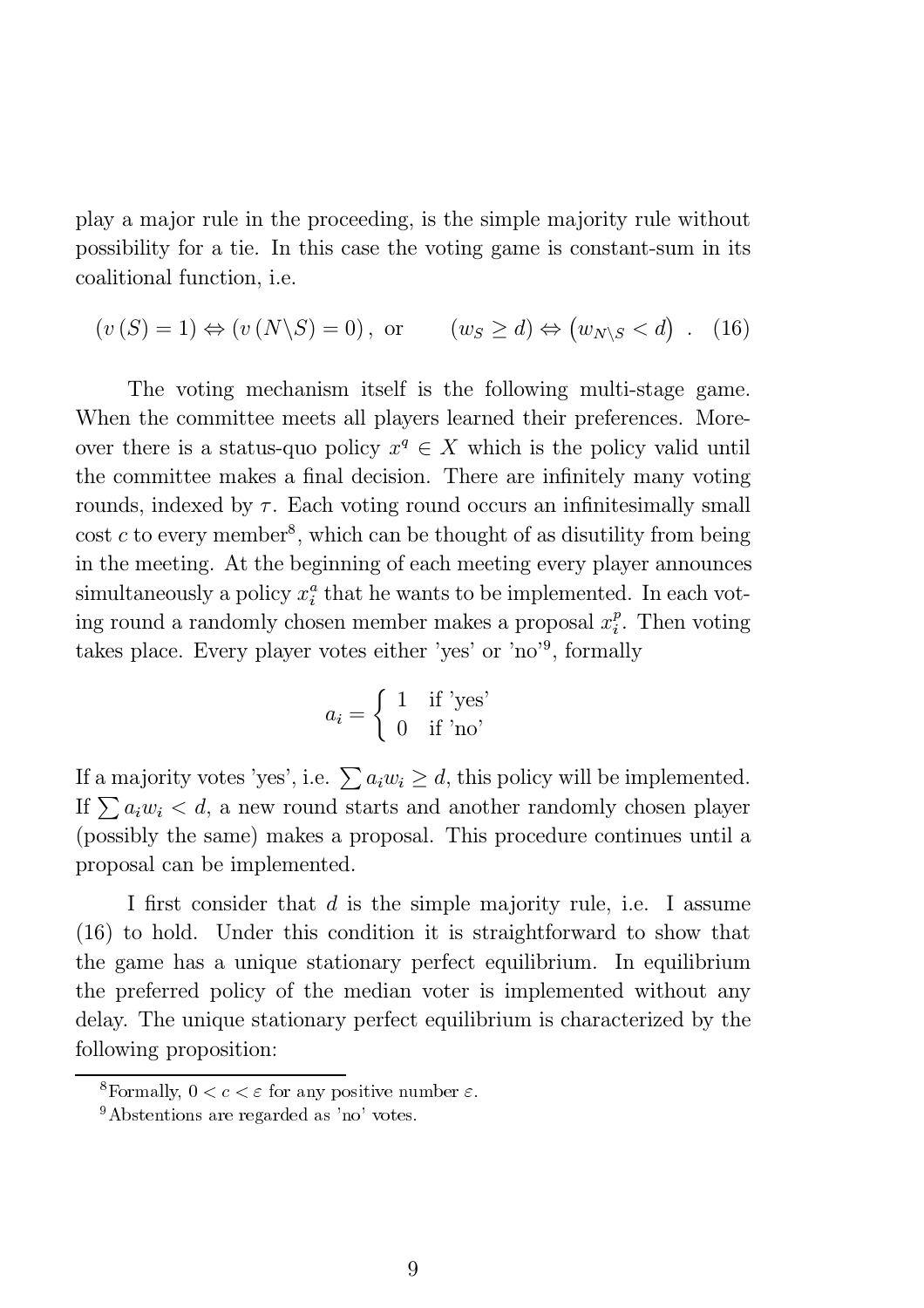play a major rule in the proceeding, is the simple majority rule without possibility for a tie. In this case the voting game is constant-sum in its coalitional function, i.e.

$$
(v(S) = 1) \Leftrightarrow (v(N\backslash S) = 0), \text{ or } (w_S \ge d) \Leftrightarrow (w_{N\backslash S} < d) \quad (16)
$$

The voting mechanism itself is the following multi-stage game. When the committee meets all players learned their preferences. Moreover there is a status-quo policy  $x^q \in X$  which is the policy valid until the committee makes a final decision. There are infinitely many voting rounds, indexed by  $\tau$ . Each voting round occurs an infinitesimally small cost c to every member<sup>8</sup>, which can be thought of as disutility from being in the meeting. At the beginning of each meeting every player announces simultaneously a policy  $x_i^a$  that he wants to be implemented. In each voting round a randomly chosen member makes a proposal  $x_i^p$ . Then voting takes place. Every player votes either 'yes' or 'no'<sup>9</sup>, formally

$$
a_i = \begin{cases} 1 & \text{if 'yes'}\\ 0 & \text{if 'no'} \end{cases}
$$

If a majority votes 'yes', i.e.  $\sum a_i w_i \geq d$ , this policy will be implemented. If  $\sum a_i w_i < d$ , a new round starts and another randomly chosen player (possibly the same) makes a proposal. This procedure continues until a proposal can be implemented.

I first consider that  $d$  is the simple majority rule, i.e. I assume (16) to hold. Under this condition it is straightforward to show that the game has a unique stationary perfect equilibrium. In equilibrium the preferred policy of the median voter is implemented without any delay. The unique stationary perfect equilibrium is characterized by the following proposition:

<sup>&</sup>lt;sup>8</sup>Formally,  $0 < c < \varepsilon$  for any positive number  $\varepsilon$ .

<sup>9</sup>Abstentions are regarded as 'no' votes.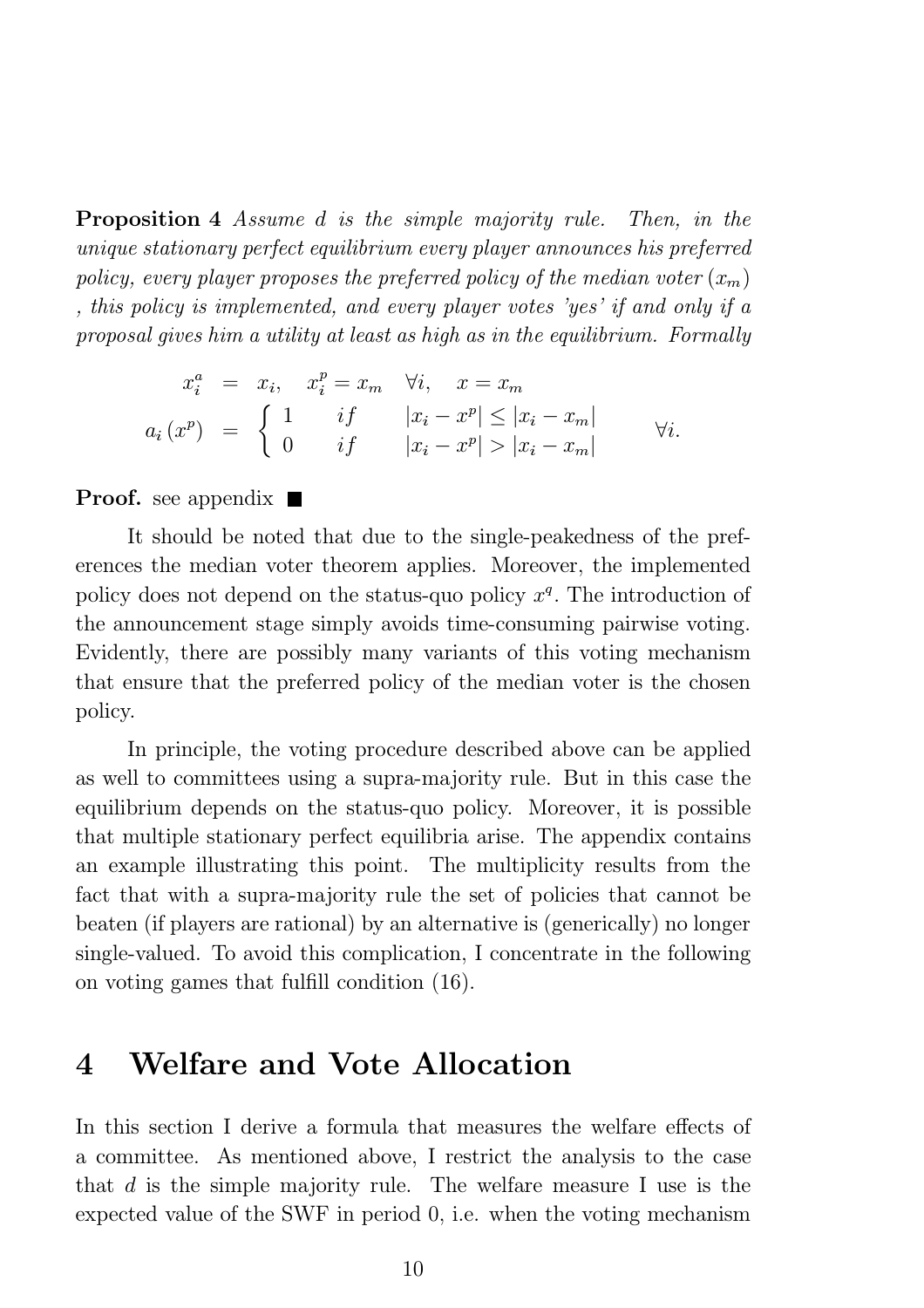Proposition 4 Assume d is the simple majority rule. Then, in the unique stationary perfect equilibrium every player announces his preferred policy, every player proposes the preferred policy of the median voter  $(x_m)$ , this policy is implemented, and every player votes 'yes' if and only if a proposal gives him a utility at least as high as in the equilibrium. Formally

$$
x_i^a = x_i, \quad x_i^p = x_m \quad \forall i, \quad x = x_m
$$
  

$$
a_i(x^p) = \begin{cases} 1 & if \quad |x_i - x^p| \le |x_i - x_m| \\ 0 & if \quad |x_i - x^p| > |x_i - x_m| \end{cases} \quad \forall i.
$$

**Proof.** see appendix  $\blacksquare$ 

It should be noted that due to the single-peakedness of the preferences the median voter theorem applies. Moreover, the implemented policy does not depend on the status-quo policy  $x<sup>q</sup>$ . The introduction of the announcement stage simply avoids time-consuming pairwise voting. Evidently, there are possibly many variants of this voting mechanism that ensure that the preferred policy of the median voter is the chosen policy.

In principle, the voting procedure described above can be applied as well to committees using a supra-majority rule. But in this case the equilibrium depends on the status-quo policy. Moreover, it is possible that multiple stationary perfect equilibria arise. The appendix contains an example illustrating this point. The multiplicity results from the fact that with a supra-majority rule the set of policies that cannot be beaten (if players are rational) by an alternative is (generically) no longer single-valued. To avoid this complication, I concentrate in the following on voting games that fulfill condition  $(16)$ .

### 4 Welfare and Vote Allocation

In this section I derive a formula that measures the welfare effects of a committee. As mentioned above, I restrict the analysis to the case that d is the simple majority rule. The welfare measure I use is the expected value of the SWF in period 0; i.e. when the voting mechanism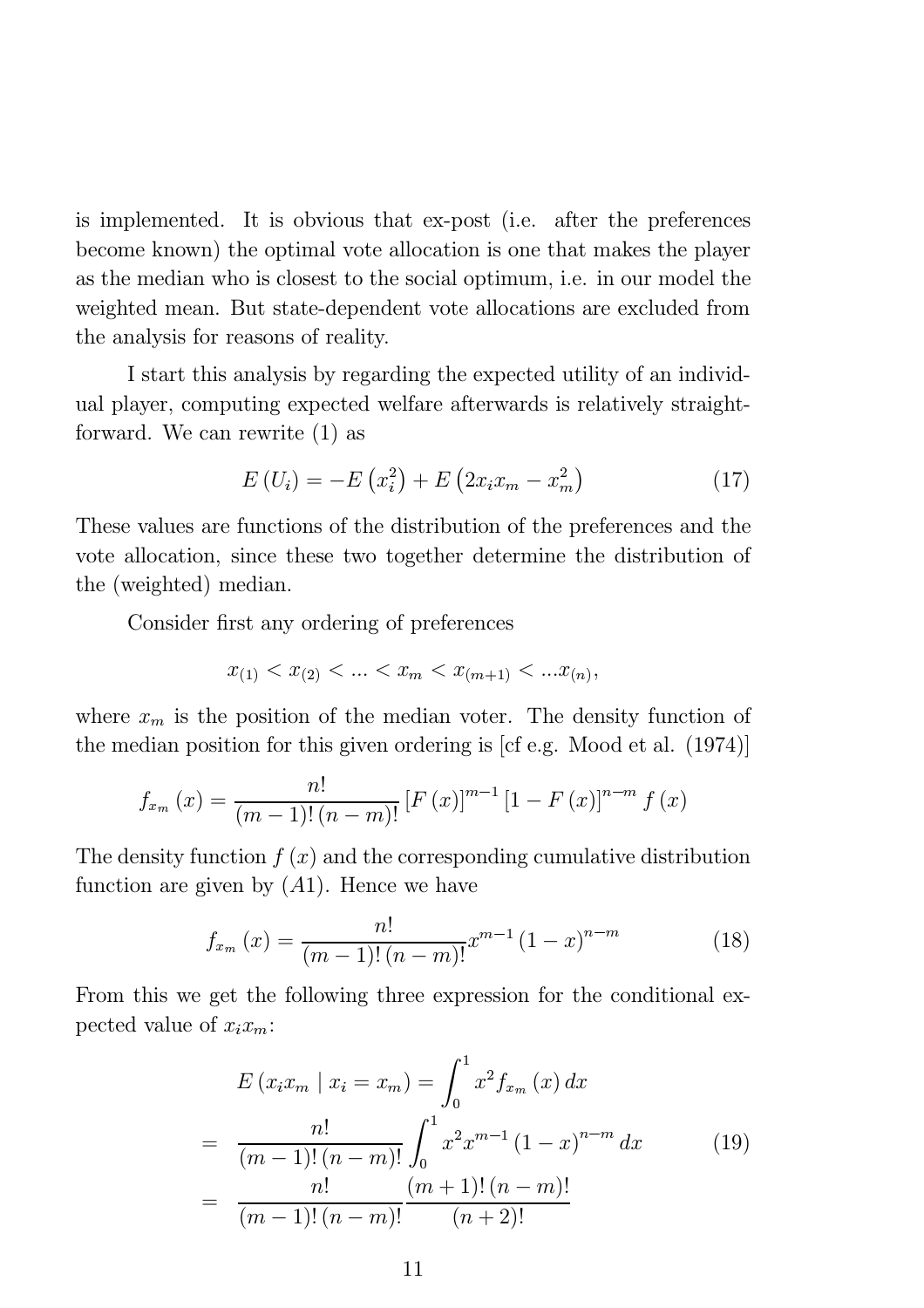is implemented. It is obvious that ex-post (i.e. after the preferences become known) the optimal vote allocation is one that makes the player as the median who is closest to the social optimum, i.e. in our model the weighted mean. But state-dependent vote allocations are excluded from the analysis for reasons of reality.

I start this analysis by regarding the expected utility of an individual player, computing expected welfare afterwards is relatively straightforward. We can rewrite (1) as

$$
E(U_i) = -E(x_i^2) + E(2x_i x_m - x_m^2)
$$
 (17)

These values are functions of the distribution of the preferences and the vote allocation, since these two together determine the distribution of the (weighted) median.

Consider first any ordering of preferences

$$
x_{(1)} < x_{(2)} < \ldots < x_{m} < x_{(m+1)} < \ldots x_{(n)},
$$

where  $x_m$  is the position of the median voter. The density function of the median position for this given ordering is [cf e.g. Mood et al. (1974)]

$$
x_m
$$
 is the position of the median vote. The density function  
edian position for this given ordering is [cf e.g. Wood et al. (  
 $f_{x_m}(x) = \frac{n!}{(m-1)!(n-m)!} [F(x)]^{m-1} [1 - F(x)]^{n-m} f(x)$ 

The density function  $f(x)$  and the corresponding cumulative distribution function are given by  $(A1)$ . Hence we have native distribution<br> $n-m$  (18)

$$
f_{x_m}(x) = \frac{n!}{(m-1)!(n-m)!} x^{m-1} (1-x)^{n-m}
$$
 (18)

From this we get the following three expression for the conditional expected value of  $x_i x_m$ :

$$
E(x_i x_m \mid x_i = x_m) = \int_0^1 x^2 f_{x_m}(x) dx
$$
  
= 
$$
\frac{n!}{(m-1)!(n-m)!} \int_0^1 x^2 x^{m-1} (1-x)^{n-m} dx
$$
  
= 
$$
\frac{n!}{(m-1)!(n-m)!} \frac{(m+1)!(n-m)!}{(n+2)!}
$$
 (19)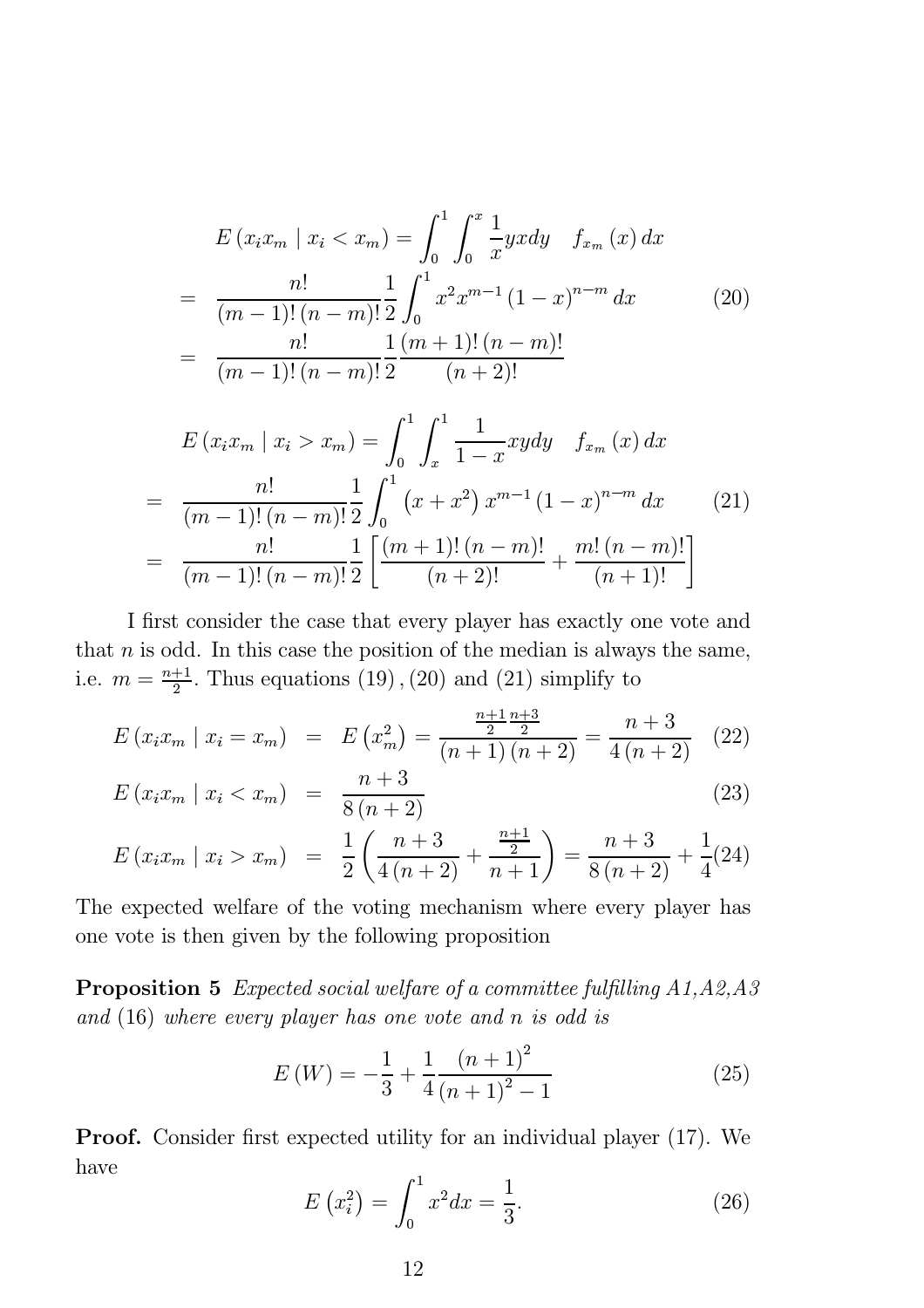$$
E(x_i x_m \mid x_i < x_m) = \int_0^1 \int_0^x \frac{1}{x} yx \, dy \quad f_{x_m}(x) \, dx
$$
\n
$$
= \frac{n!}{(m-1)!(n-m)!} \frac{1}{2} \int_0^1 x^2 x^{m-1} (1-x)^{n-m} \, dx \tag{20}
$$
\n
$$
= \frac{n!}{(m-1)!(n-m)!} \frac{1}{2} \frac{(m+1)!(n-m)!}{(n+2)!}
$$

$$
E(x_i x_m | x_i > x_m) = \int_0^1 \int_x^1 \frac{1}{1-x} xy dy \quad f_{x_m}(x) dx
$$
  
= 
$$
\frac{n!}{(m-1)!(n-m)!} \frac{1}{2} \int_0^1 (x+x^2) x^{m-1} (1-x)^{n-m} dx \qquad (21)
$$
  
= 
$$
\frac{n!}{(m-1)!(n-m)!} \frac{1}{2} \left[ \frac{(m+1)!(n-m)!}{(n+2)!} + \frac{m! (n-m)!}{(n+1)!} \right]
$$

I first consider the case that every player has exactly one vote and that  $n$  is odd. In this case the position of the median is always the same, i.e.  $m = \frac{n+1}{2}$ . Thus equations (19), (20) and (21) simplify to

$$
E(x_i x_m \mid x_i = x_m) = E(x_m^2) = \frac{\frac{n+1}{2} \frac{n+3}{2}}{(n+1)(n+2)} = \frac{n+3}{4(n+2)} \quad (22)
$$

$$
E(x_i x_m \mid x_i < x_m) = \frac{n+3}{8(n+2)} \tag{23}
$$

$$
E(x_i x_m \mid x_i > x_m) = \frac{1}{2} \left( \frac{n+3}{4(n+2)} + \frac{\frac{n+1}{2}}{n+1} \right) = \frac{n+3}{8(n+2)} + \frac{1}{4}(24)
$$

The expected welfare of the voting mechanism where every player has one vote is then given by the following proposition

**Proposition 5** Expected social welfare of a committee fulfilling  $A1, A2, A3$ and (16) where every player has one vote and n is odd is

$$
E\left(W\right) = -\frac{1}{3} + \frac{1}{4} \frac{\left(n+1\right)^2}{\left(n+1\right)^2 - 1} \tag{25}
$$

**Proof.** Consider first expected utility for an individual player (17). We have

$$
E(x_i^2) = \int_0^1 x^2 dx = \frac{1}{3}.
$$
 (26)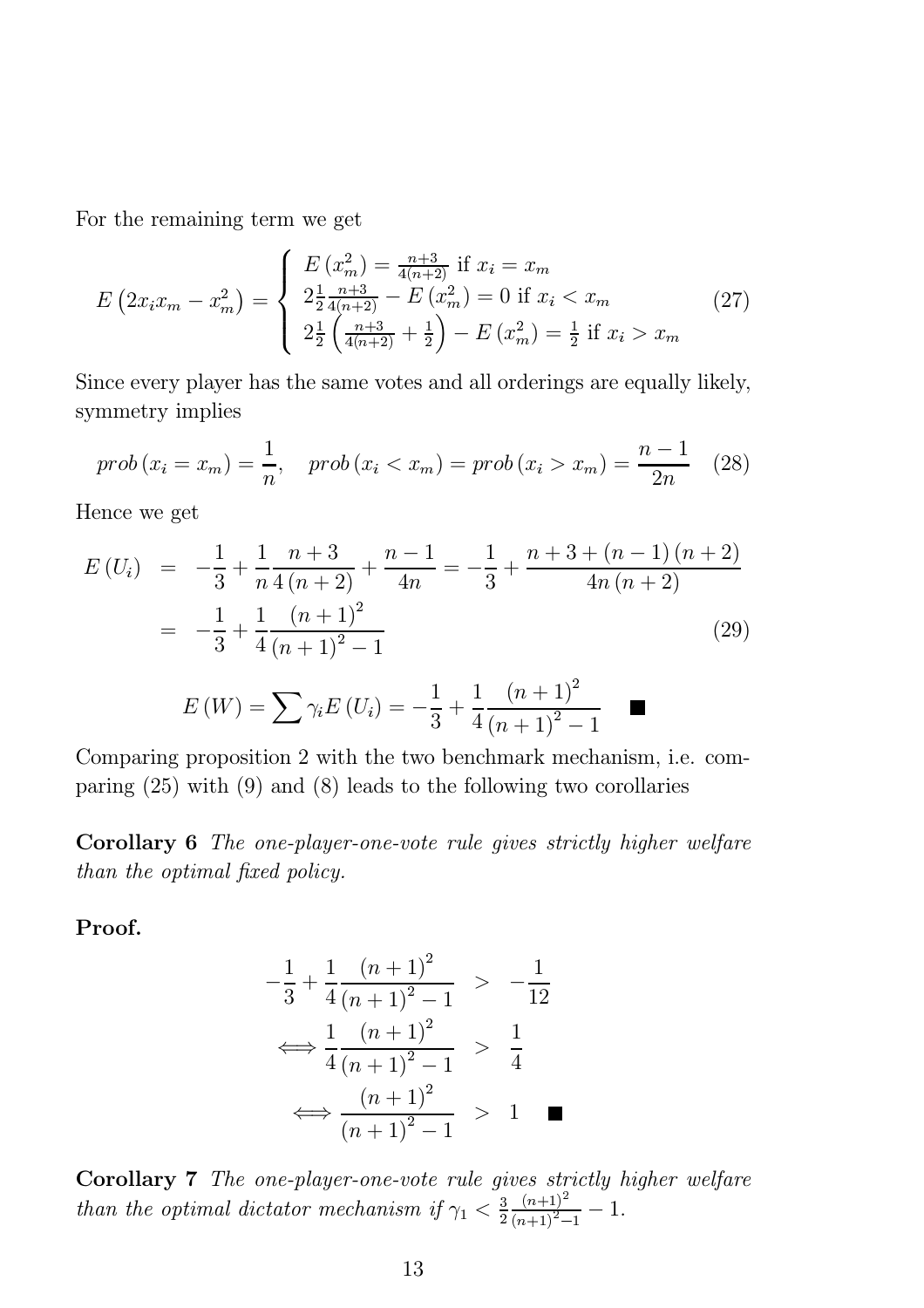For the remaining term we get

$$
E\left(2x_i x_m - x_m^2\right) = \begin{cases} E\left(x_m^2\right) = \frac{n+3}{4(n+2)} \text{ if } x_i = x_m\\ 2\frac{1}{2} \frac{n+3}{4(n+2)} - E\left(x_m^2\right) = 0 \text{ if } x_i < x_m\\ 2\frac{1}{2} \left(\frac{n+3}{4(n+2)} + \frac{1}{2}\right) - E\left(x_m^2\right) = \frac{1}{2} \text{ if } x_i > x_m \end{cases} \tag{27}
$$

Since every player has the same votes and all orderings are equally likely, symmetry implies

$$
prob(x_i = x_m) = \frac{1}{n}, \quad prob(x_i < x_m) = prob(x_i > x_m) = \frac{n-1}{2n} \quad (28)
$$

Hence we get

$$
E(U_i) = -\frac{1}{3} + \frac{1}{n} \frac{n+3}{4(n+2)} + \frac{n-1}{4n} = -\frac{1}{3} + \frac{n+3+(n-1)(n+2)}{4n(n+2)}
$$
  
= 
$$
-\frac{1}{3} + \frac{1}{4} \frac{(n+1)^2}{(n+1)^2 - 1}
$$
(29)

$$
E\left(W\right) = \sum \gamma_i E\left(U_i\right) = -\frac{1}{3} + \frac{1}{4} \frac{\left(n+1\right)^2}{\left(n+1\right)^2 - 1} \quad \blacksquare
$$

Comparing proposition 2 with the two benchmark mechanism, i.e. comparing (25) with (9) and (8) leads to the following two corollaries

Corollary 6 The one-player-one-vote rule gives strictly higher welfare than the optimal fixed policy.

Proof.

$$
-\frac{1}{3} + \frac{1}{4} \frac{(n+1)^2}{(n+1)^2 - 1} > -\frac{1}{12}
$$
  

$$
\iff \frac{1}{4} \frac{(n+1)^2}{(n+1)^2 - 1} > \frac{1}{4}
$$
  

$$
\iff \frac{(n+1)^2}{(n+1)^2 - 1} > 1 \quad \blacksquare
$$

Corollary 7 The one-player-one-vote rule gives strictly higher welfare than the optimal dictator mechanism if  $\gamma_1 < \frac{3}{2}$  $(n+1)^2$  $\frac{(n+1)^2}{(n+1)^2-1}$  - 1.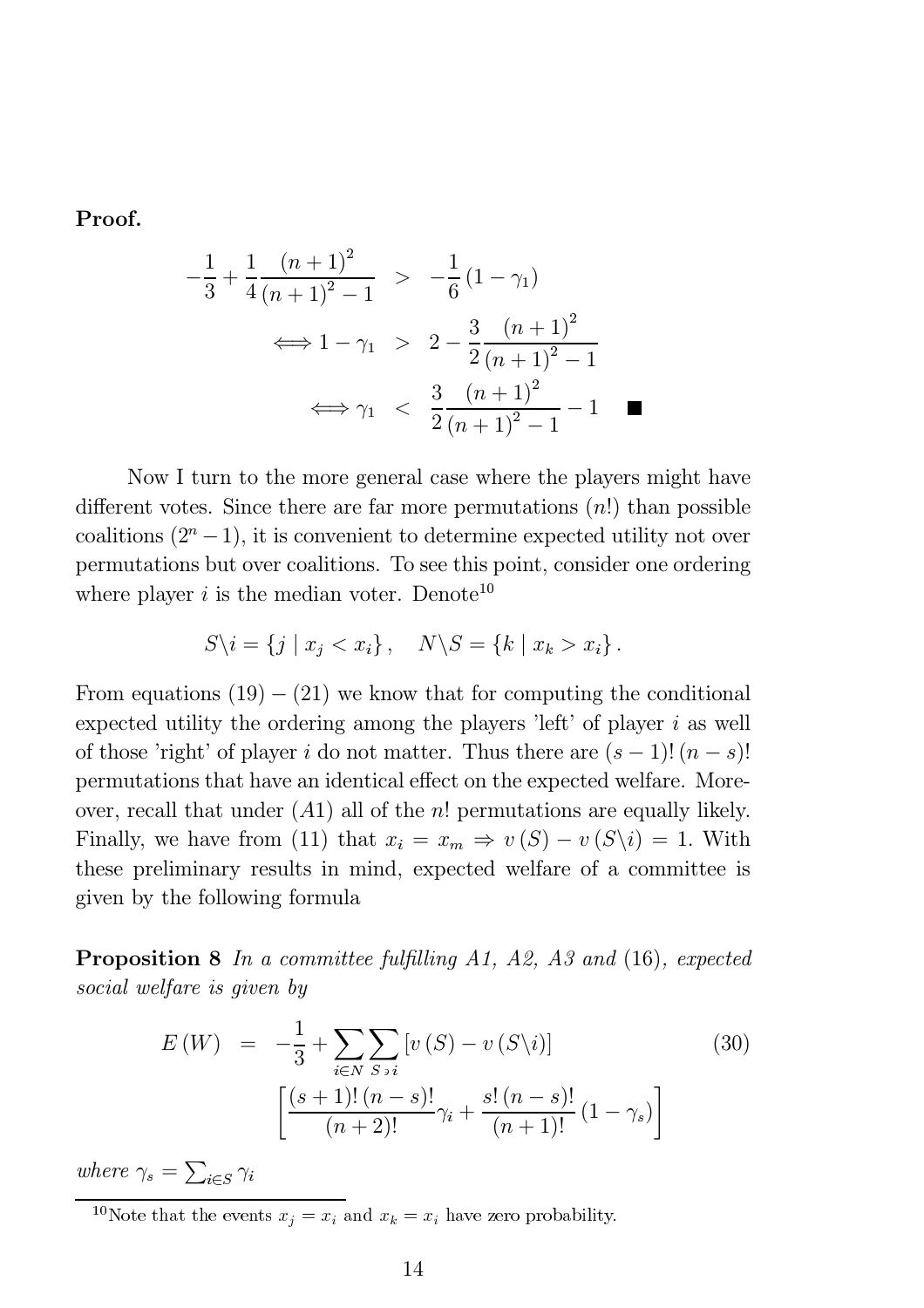Proof.

$$
-\frac{1}{3} + \frac{1}{4} \frac{(n+1)^2}{(n+1)^2 - 1} > -\frac{1}{6} (1 - \gamma_1)
$$
  

$$
\iff 1 - \gamma_1 > 2 - \frac{3}{2} \frac{(n+1)^2}{(n+1)^2 - 1}
$$
  

$$
\iff \gamma_1 < \frac{3}{2} \frac{(n+1)^2}{(n+1)^2 - 1} - 1 \quad \blacksquare
$$

Now I turn to the more general case where the players might have different votes. Since there are far more permutations  $(n!)$  than possible coalitions  $(2^{n}-1)$ , it is convenient to determine expected utility not over permutations but over coalitions. To see this point, consider one ordering where player  $i$  is the median voter. Denote<sup>10</sup>

$$
S\backslash i = \{j \mid x_j < x_i\}, \quad N\backslash S = \{k \mid x_k > x_i\}.
$$

From equations  $(19) - (21)$  we know that for computing the conditional expected utility the ordering among the players 'left' of player  $i$  as well of those 'right' of player i do not matter. Thus there are  $(s-1)!(n-s)!$ permutations that have an identical effect on the expected welfare. Moreover, recall that under  $(A1)$  all of the *n*! permutations are equally likely. Finally, we have from (11) that  $x_i = x_m \Rightarrow v(S) - v(S \setminus i) = 1$ . With these preliminary results in mind, expected welfare of a committee is given by the following formula

**Proposition 8** In a committee fulfilling A1, A2, A3 and  $(16)$ , expected social welfare is given by

$$
E(W) = -\frac{1}{3} + \sum_{i \in N} \sum_{S \ni i} [v(S) - v(S \setminus i)] \qquad (30)
$$

$$
\left[ \frac{(s+1)!(n-s)!}{(n+2)!} \gamma_i + \frac{s!(n-s)!}{(n+1)!} (1 - \gamma_s) \right]
$$

where  $\gamma_s = \sum_{i \in S} \gamma_i$ 

<sup>10</sup>Note that the events  $x_j = x_i$  and  $x_k = x_i$  have zero probability.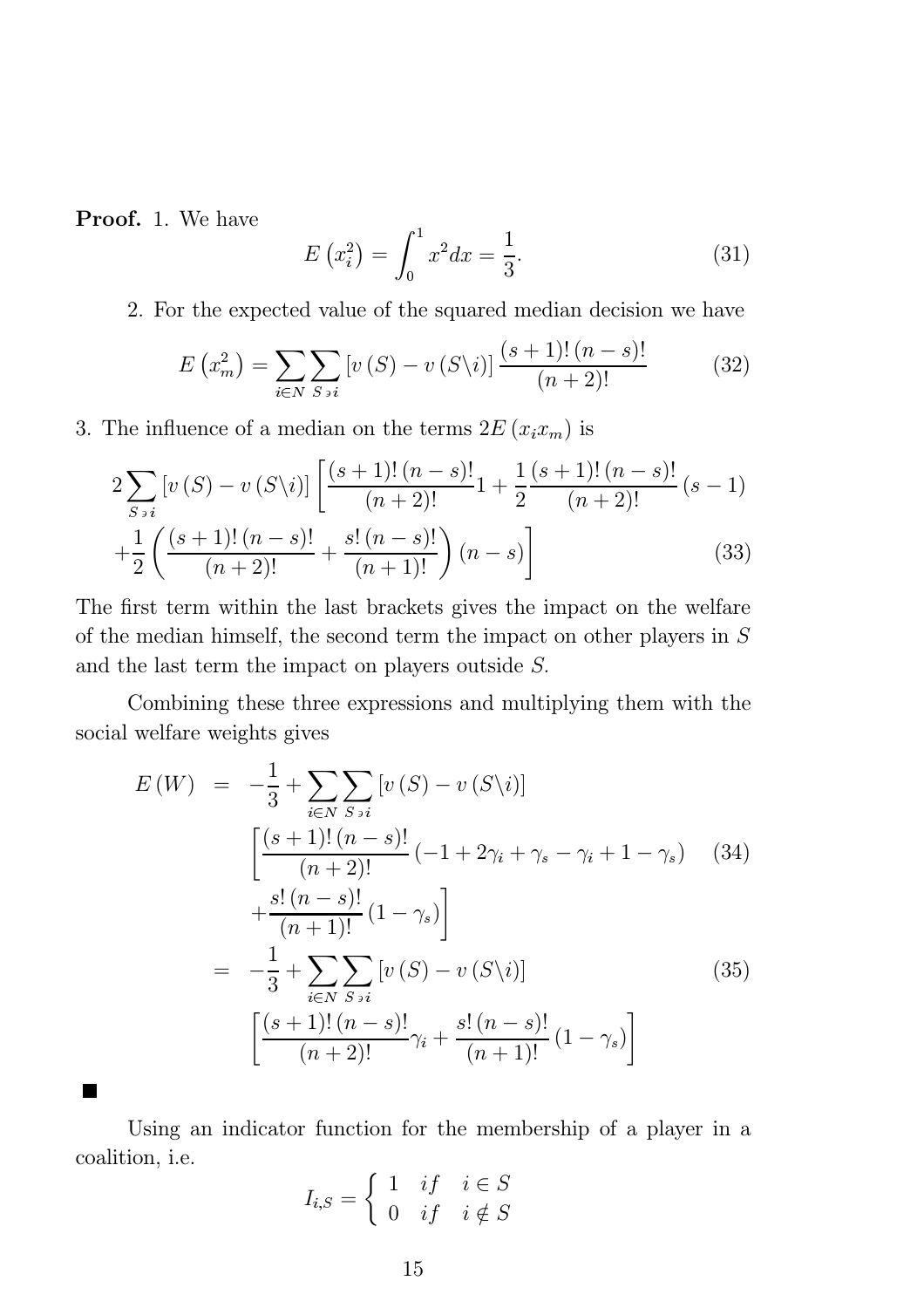Proof. 1. We have

$$
E(x_i^2) = \int_0^1 x^2 dx = \frac{1}{3}.
$$
 (31)

2. For the expected value of the squared median decision we have

$$
E\left(x_{m}^{2}\right) = \sum_{i \in N} \sum_{S \ni i} \left[ v\left(S\right) - v\left(S\backslash i\right) \right] \frac{(s+1)!(n-s)!}{(n+2)!} \tag{32}
$$

3. The influence of a median on the terms  $2E(x_ix_m)$  is

$$
2\sum_{S \ni i} \left[ v(S) - v(S\backslash i) \right] \left[ \frac{(s+1)!(n-s)!}{(n+2)!} 1 + \frac{1}{2} \frac{(s+1)!(n-s)!}{(n+2)!} (s-1) + \frac{1}{2} \left( \frac{(s+1)!(n-s)!}{(n+2)!} + \frac{s!(n-s)!}{(n+1)!} \right) (n-s) \right]
$$
(33)

The first term within the last brackets gives the impact on the welfare of the median himself, the second term the impact on other players in S and the last term the impact on players outside  $S$ .

Combining these three expressions and multiplying them with the social welfare weights gives

$$
E(W) = -\frac{1}{3} + \sum_{i \in N} \sum_{S \ni i} [v(S) - v(S \setminus i)]
$$
  
\n
$$
\left[ \frac{(s+1)!(n-s)!}{(n+2)!} (-1 + 2\gamma_i + \gamma_s - \gamma_i + 1 - \gamma_s) \right]
$$
  
\n
$$
+ \frac{s!(n-s)!}{(n+1)!} (1 - \gamma_s)
$$
  
\n
$$
= -\frac{1}{3} + \sum_{i \in N} \sum_{S \ni i} [v(S) - v(S \setminus i)]
$$
  
\n
$$
\left[ \frac{(s+1)!(n-s)!}{(n+2)!} \gamma_i + \frac{s!(n-s)!}{(n+1)!} (1 - \gamma_s) \right]
$$
\n(35)

Using an indicator function for the membership of a player in a coalition, i.e.

$$
I_{i,S} = \begin{cases} 1 & \text{if } i \in S \\ 0 & \text{if } i \notin S \end{cases}
$$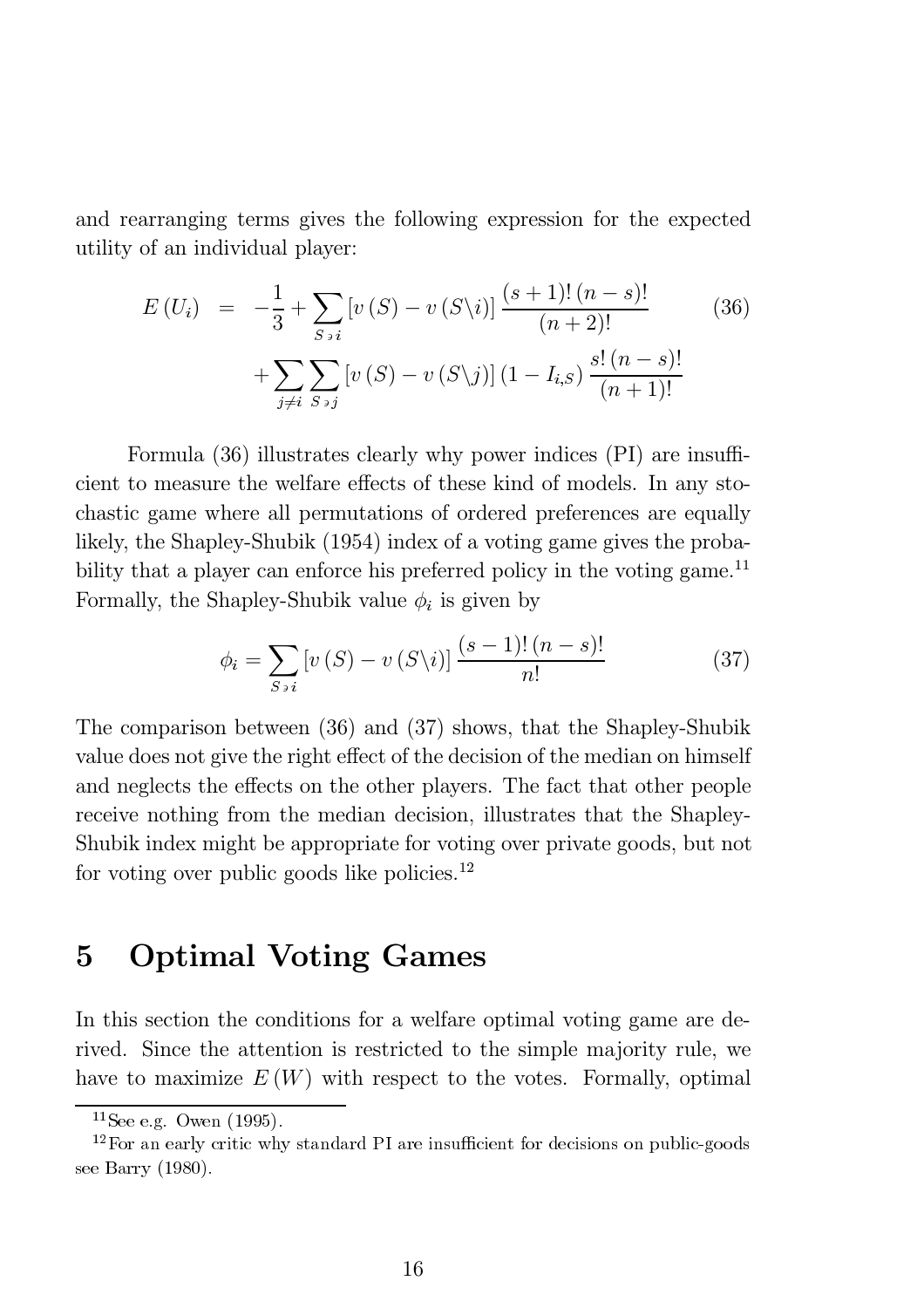and rearranging terms gives the following expression for the expected utility of an individual player:

$$
E(U_i) = -\frac{1}{3} + \sum_{S \ni i} [v(S) - v(S \setminus i)] \frac{(s+1)!(n-s)!}{(n+2)!} + \sum_{j \neq i} \sum_{S \ni j} [v(S) - v(S \setminus j)] (1 - I_{i,S}) \frac{s!(n-s)!}{(n+1)!}
$$
(36)

Formula  $(36)$  illustrates clearly why power indices  $(PI)$  are insufficient to measure the welfare effects of these kind of models. In any stochastic game where all permutations of ordered preferences are equally likely, the Shapley-Shubik (1954) index of a voting game gives the probability that a player can enforce his preferred policy in the voting game.<sup>11</sup> Formally, the Shapley-Shubik value  $\phi_i$  is given by

$$
\phi_i = \sum_{S \ni i} \left[ v(S) - v(S \setminus i) \right] \frac{(s-1)! \, (n-s)!}{n!} \tag{37}
$$

The comparison between (36) and (37) shows, that the Shapley-Shubik value does not give the right effect of the decision of the median on himself and neglects the effects on the other players. The fact that other people receive nothing from the median decision, illustrates that the Shapley-Shubik index might be appropriate for voting over private goods, but not for voting over public goods like policies. $^{12}$ 

# 5 Optimal Voting Games

In this section the conditions for a welfare optimal voting game are derived. Since the attention is restricted to the simple majority rule, we have to maximize  $E(W)$  with respect to the votes. Formally, optimal

 $11$ See e.g. Owen (1995).

 $12$ For an early critic why standard PI are insufficient for decisions on public-goods see Barry (1980).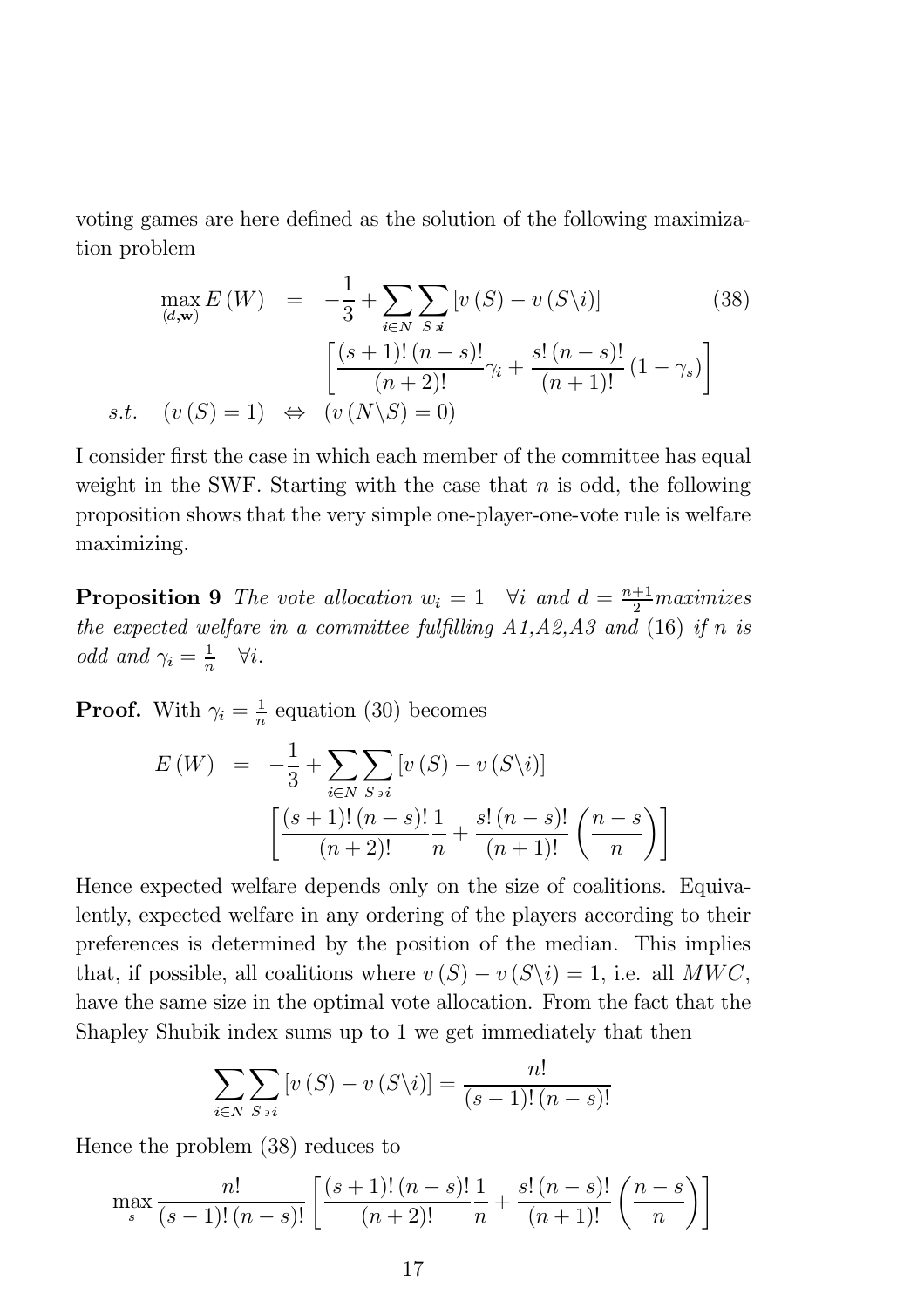voting games are here defined as the solution of the following maximization problem

$$
\max_{(d,\mathbf{w})} E\left(W\right) = -\frac{1}{3} + \sum_{i \in N} \sum_{S|i} \left[ v\left(S\right) - v\left(S\backslash i\right) \right] \tag{38}
$$
\n
$$
\left[ \frac{(s+1)!\left(n-s\right)!}{(n+2)!} \gamma_i + \frac{s!\left(n-s\right)!}{(n+1)!} \left(1 - \gamma_s\right) \right]
$$
\ns.t. 
$$
\left( v\left(S\right) = 1 \right) \iff \left( v\left(N\backslash S\right) = 0 \right)
$$

I consider first the case in which each member of the committee has equal weight in the SWF. Starting with the case that  $n$  is odd, the following proposition shows that the very simple one-player-one-vote rule is welfare maximizing.

**Proposition 9** The vote allocation  $w_i = 1$   $\forall i$  and  $d = \frac{n+1}{2}$  maximizes the expected welfare in a committee fulfilling  $A1, A2, A3$  and (16) if n is odd and  $\gamma_i = \frac{1}{n}$   $\forall i.$ 

**Proof.** With  $\gamma_i = \frac{1}{n}$  equation (30) becomes

$$
E(W) = -\frac{1}{3} + \sum_{i \in N} \sum_{S \ni i} [v(S) - v(S \setminus i)]
$$

$$
\left[ \frac{(s+1)!(n-s)!}{(n+2)!} \frac{1}{n} + \frac{s!(n-s)!}{(n+1)!} \left( \frac{n-s}{n} \right) \right]
$$

Hence expected welfare depends only on the size of coalitions. Equivalently, expected welfare in any ordering of the players according to their preferences is determined by the position of the median. This implies that, if possible, all coalitions where  $v(S) - v(S \setminus i) = 1$ , i.e. all MWC, have the same size in the optimal vote allocation. From the fact that the Shapley Shubik index sums up to 1 we get immediately that then

$$
\sum_{i \in N} \sum_{S \ni i} \left[ v(S) - v(S \setminus i) \right] = \frac{n!}{(s-1)!(n-s)!}
$$

Hence the problem (38) reduces to

$$
\max_{s} \frac{n!}{(s-1)!(n-s)!} \left[ \frac{(s+1)!(n-s)!}{(n+2)!} \frac{1}{n} + \frac{s!(n-s)!}{(n+1)!} \left( \frac{n-s}{n} \right) \right]
$$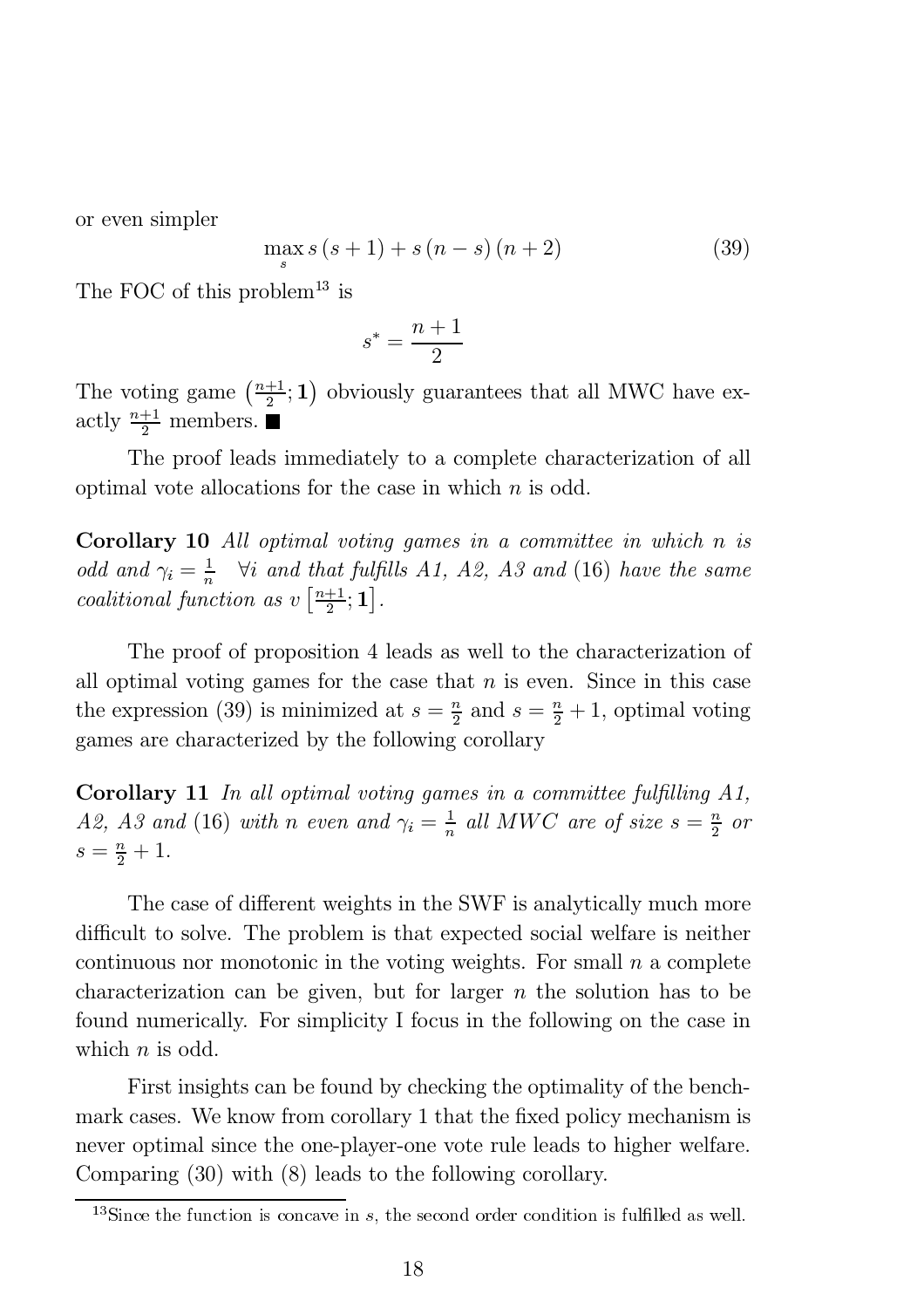or even simpler

$$
\max_{s} s(s+1) + s(n-s)(n+2)
$$
 (39)

The FOC of this problem<sup>13</sup> is

$$
s^* = \frac{n+1}{2}
$$

The voting game  $\left(\frac{n+1}{2}; 1\right)$  obviously guarantees that all MWC have exactly  $\frac{n+1}{2}$  members.

The proof leads immediately to a complete characterization of all optimal vote allocations for the case in which  $n$  is odd.

Corollary 10 All optimal voting games in a committee in which n is odd and  $\gamma_i = \frac{1}{n}$   $\forall i$  and that fulfills A1, A2, A3 and (16) have the same coalitional function as  $v\left[\frac{n+1}{2};\mathbf{1}\right]$ .

The proof of proposition 4 leads as well to the characterization of all optimal voting games for the case that  $n$  is even. Since in this case the expression (39) is minimized at  $s = \frac{n}{2}$  and  $s = \frac{n}{2} + 1$ , optimal voting games are characterized by the following corollary

**Corollary 11** In all optimal voting games in a committee fulfilling  $A1$ , A2, A3 and (16) with n even and  $\gamma_i = \frac{1}{n}$  all MWC are of size  $s = \frac{n}{2}$  or  $s = \frac{n}{2} + 1.$ 

The case of different weights in the SWF is analytically much more difficult to solve. The problem is that expected social welfare is neither continuous nor monotonic in the voting weights. For small  $n$  a complete characterization can be given, but for larger  $n$  the solution has to be found numerically. For simplicity I focus in the following on the case in which  $n$  is odd.

First insights can be found by checking the optimality of the benchmark cases. We know from corollary 1 that the fixed policy mechanism is never optimal since the one-player-one vote rule leads to higher welfare. Comparing (30) with (8) leads to the following corollary.

 $13$ Since the function is concave in s, the second order condition is fulfilled as well.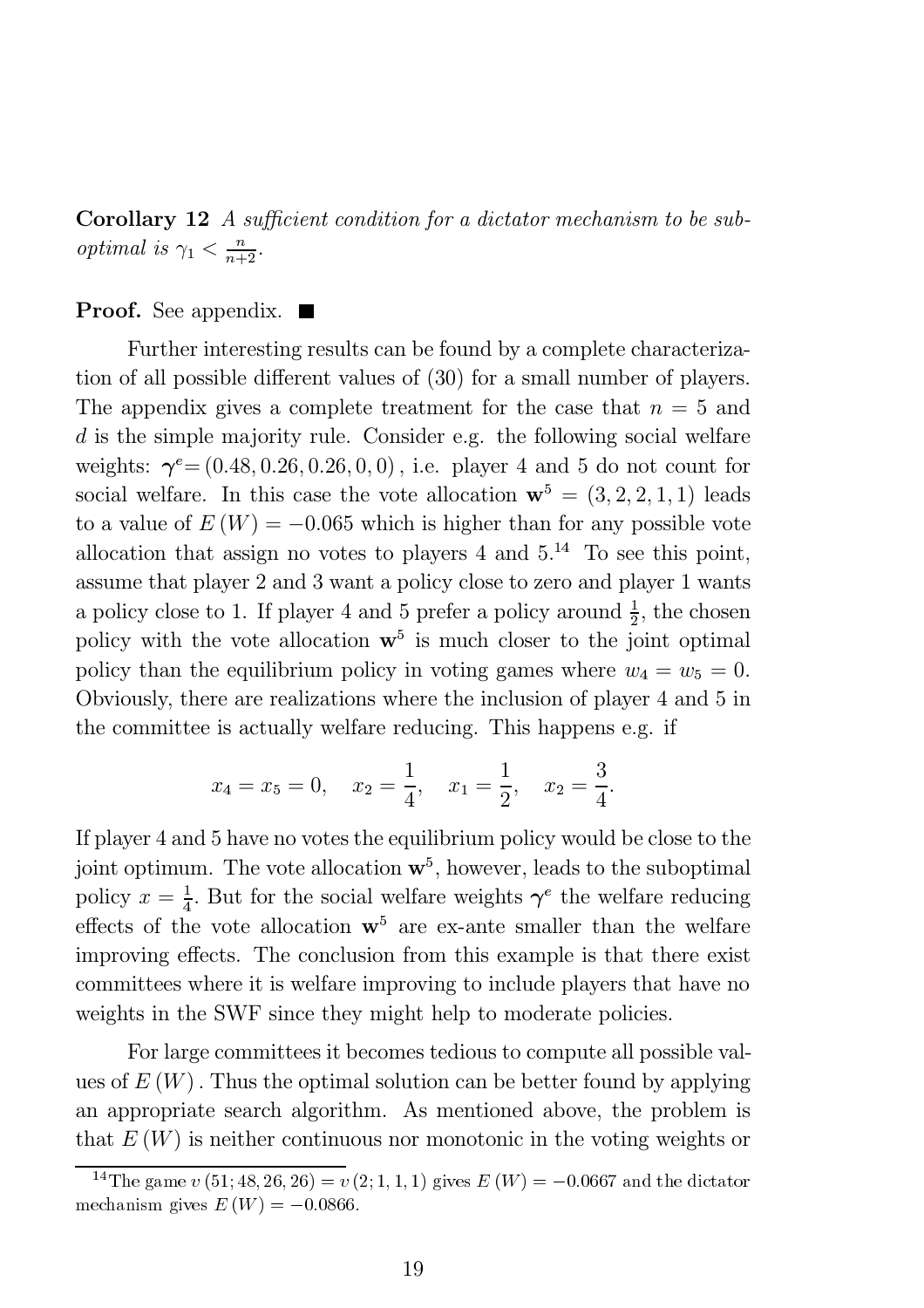**Corollary 12** A sufficient condition for a dictator mechanism to be sub*optimal is*  $\gamma_1 < \frac{n}{n+2}$ .

#### **Proof.** See appendix.  $\blacksquare$

Further interesting results can be found by a complete characterization of all possible different values of (30) for a small number of players. The appendix gives a complete treatment for the case that  $n = 5$  and d is the simple majority rule. Consider e.g. the following social welfare weights:  $\gamma^e = (0.48, 0.26, 0.26, 0, 0)$ , i.e. player 4 and 5 do not count for social welfare. In this case the vote allocation  $\mathbf{w}^5 = (3, 2, 2, 1, 1)$  leads to a value of  $E(W) = -0.065$  which is higher than for any possible vote allocation that assign no votes to players  $4$  and  $5.^{14}$  To see this point, assume that player 2 and 3 want a policy close to zero and player 1 wants a policy close to 1. If player 4 and 5 prefer a policy around  $\frac{1}{2}$ , the chosen policy with the vote allocation  $\mathbf{w}^5$  is much closer to the joint optimal policy than the equilibrium policy in voting games where  $w_4 = w_5 = 0$ . Obviously, there are realizations where the inclusion of player 4 and 5 in the committee is actually welfare reducing. This happens e.g. if

$$
x_4 = x_5 = 0
$$
,  $x_2 = \frac{1}{4}$ ,  $x_1 = \frac{1}{2}$ ,  $x_2 = \frac{3}{4}$ .

If player 4 and 5 have no votes the equilibrium policy would be close to the joint optimum. The vote allocation  $\mathbf{w}^5$ , however, leads to the suboptimal policy  $x = \frac{1}{4}$ . But for the social welfare weights  $\gamma^e$  the welfare reducing effects of the vote allocation  $\mathbf{w}^5$  are ex-ante smaller than the welfare improving effects. The conclusion from this example is that there exist committees where it is welfare improving to include players that have no weights in the SWF since they might help to moderate policies.

For large committees it becomes tedious to compute all possible values of  $E(W)$ . Thus the optimal solution can be better found by applying an appropriate search algorithm. As mentioned above, the problem is that  $E(W)$  is neither continuous nor monotonic in the voting weights or 14The game  $v(51; 48; 26; 26) = v(2; 1, 1, 1)$  gives  $E(W) = -0.0667$  and the dictator

<sup>&</sup>lt;sup>14</sup>The game  $v(51; 48, 26, 26) = v(2; 1, 1, 1)$  gives  $E(W) = -0.0667$  and the dictator mechanism gives  $E(W) = -0.0866$ .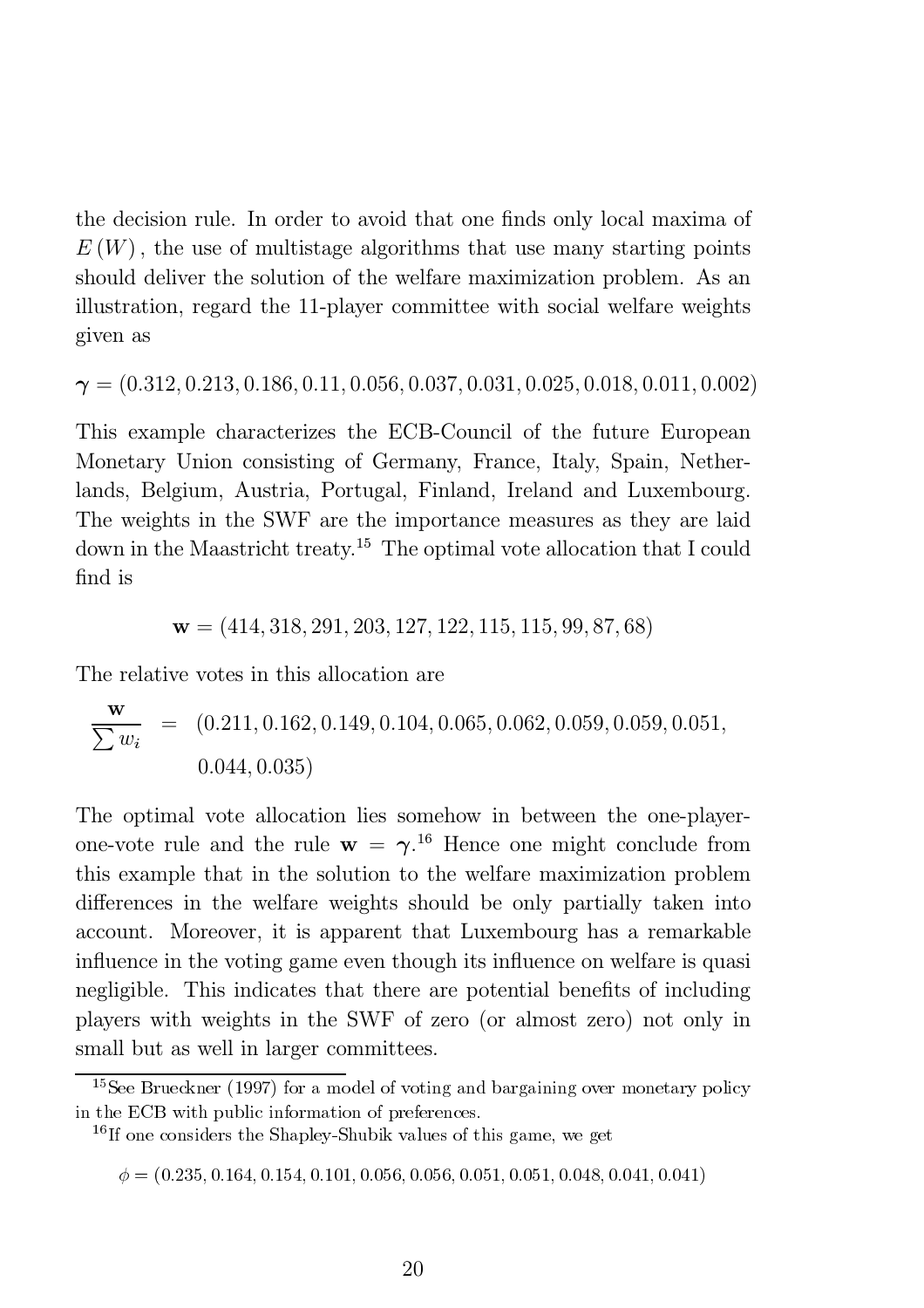the decision rule. In order to avoid that one finds only local maxima of  $E(W)$ , the use of multistage algorithms that use many starting points should deliver the solution of the welfare maximization problem. As an illustration, regard the 11-player committee with social welfare weights given as

 $\gamma = (0.312, 0.213, 0.186, 0.11, 0.056, 0.037, 0.031, 0.025, 0.018, 0.011, 0.002)$ 

This example characterizes the ECB-Council of the future European Monetary Union consisting of Germany, France, Italy, Spain, Netherlands, Belgium, Austria, Portugal, Finland, Ireland and Luxembourg. The weights in the SWF are the importance measures as they are laid down in the Maastricht treaty.<sup>15</sup> The optimal vote allocation that I could find is

$$
\mathbf{w} = (414, 318, 291, 203, 127, 122, 115, 115, 99, 87, 68)
$$

The relative votes in this allocation are

$$
\frac{\mathbf{w}}{\sum w_i} = (0.211, 0.162, 0.149, 0.104, 0.065, 0.062, 0.059, 0.059, 0.051, 0.044, 0.035)
$$

The optimal vote allocation lies somehow in between the one-playerone-vote rule and the rule  $w = \gamma$ .<sup>16</sup> Hence one might conclude from this example that in the solution to the welfare maximization problem differences in the welfare weights should be only partially taken into account. Moreover, it is apparent that Luxembourg has a remarkable influence in the voting game even though its influence on welfare is quasi negligible. This indicates that there are potential benefits of including players with weights in the SWF of zero (or almost zero) not only in small but as well in larger committees.

<sup>15</sup>See Brueckner (1997) for a model of voting and bargaining over monetary policy in the ECB with public information of preferences.

<sup>16</sup>If one considers the Shapley-Shubik values of this game, we get

 $\phi = (0.235, 0.164, 0.154, 0.101, 0.056, 0.056, 0.051, 0.051, 0.048, 0.041, 0.041)$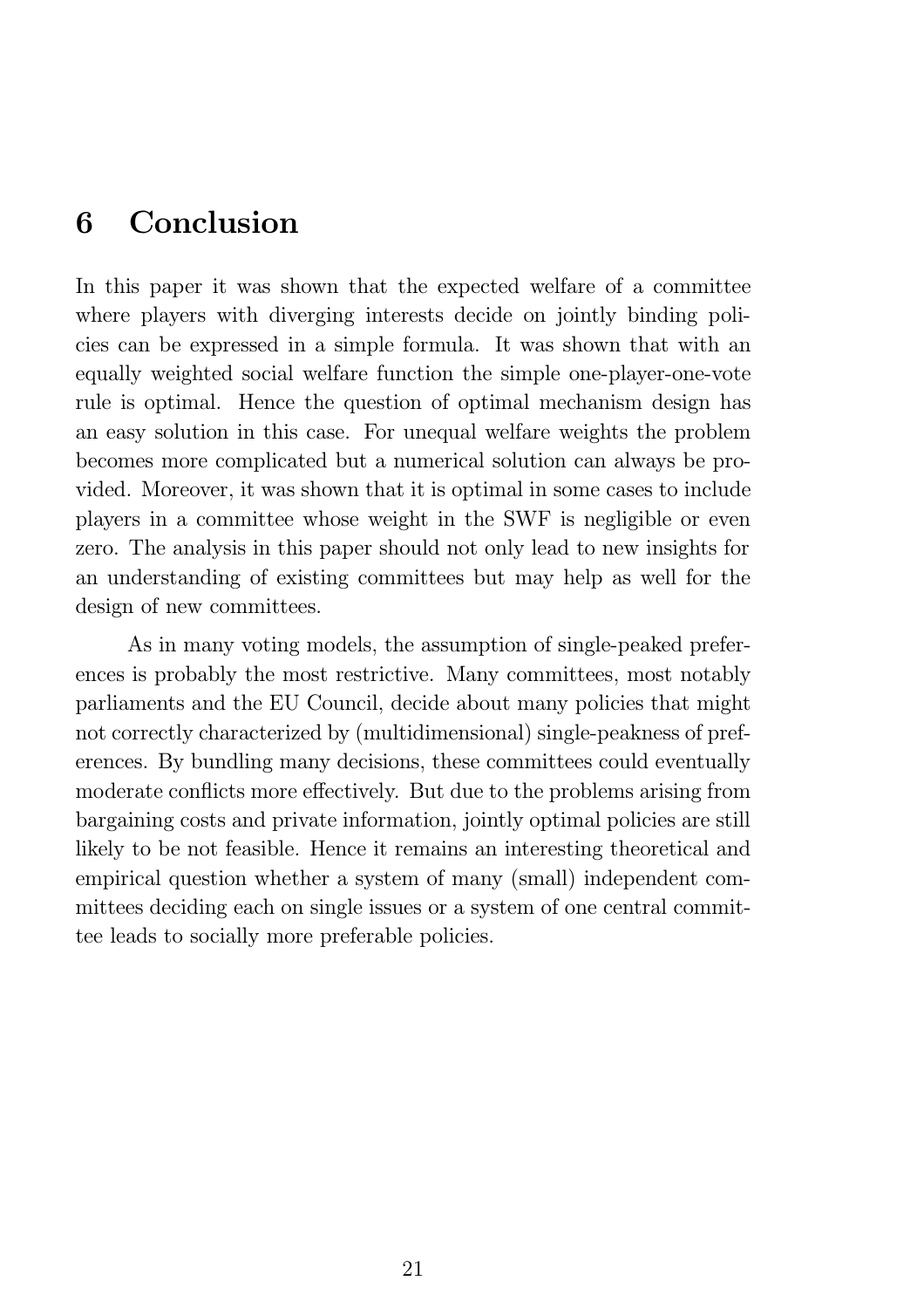# 6 Conclusion

In this paper it was shown that the expected welfare of a committee where players with diverging interests decide on jointly binding policies can be expressed in a simple formula. It was shown that with an equally weighted social welfare function the simple one-player-one-vote rule is optimal. Hence the question of optimal mechanism design has an easy solution in this case. For unequal welfare weights the problem becomes more complicated but a numerical solution can always be provided. Moreover, it was shown that it is optimal in some cases to include players in a committee whose weight in the SWF is negligible or even zero. The analysis in this paper should not only lead to new insights for an understanding of existing committees but may help as well for the design of new committees.

As in many voting models, the assumption of single-peaked preferences is probably the most restrictive. Many committees, most notably parliaments and the EU Council, decide about many policies that might not correctly characterized by (multidimensional) single-peakness of preferences. By bundling many decisions, these committees could eventually moderate conflicts more effectively. But due to the problems arising from bargaining costs and private information, jointly optimal policies are still likely to be not feasible. Hence it remains an interesting theoretical and empirical question whether a system of many (small) independent committees deciding each on single issues or a system of one central committee leads to socially more preferable policies.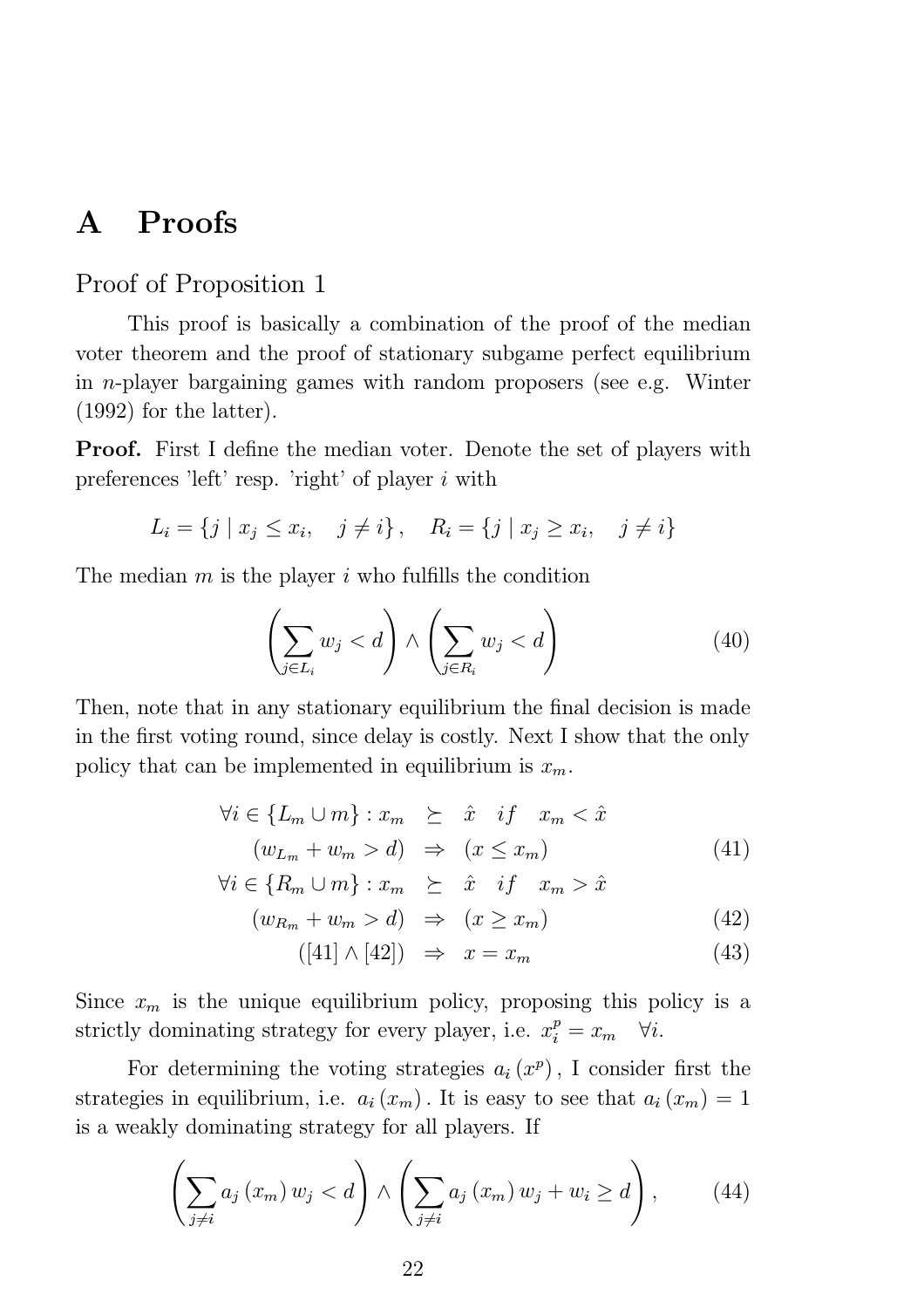# A Proofs

### Proof of Proposition 1

This proof is basically a combination of the proof of the median voter theorem and the proof of stationary subgame perfect equilibrium in n-player bargaining games with random proposers (see e.g. Winter (1992) for the latter).

**Proof.** First I define the median voter. Denote the set of players with preferences 'left' resp. 'right' of player  $i$  with

$$
L_i = \{ j \mid x_j \le x_i, \quad j \ne i \}, \quad R_i = \{ j \mid x_j \ge x_i, \quad j \ne i \}
$$

The median  $m$  is the player  $i$  who fulfills the condition

$$
\left(\sum_{j\in L_i} w_j < d\right) \land \left(\sum_{j\in R_i} w_j < d\right) \tag{40}
$$

Then, note that in any stationary equilibrium the final decision is made in the first voting round, since delay is costly. Next I show that the only policy that can be implemented in equilibrium is  $x_m$ .

$$
\forall i \in \{L_m \cup m\} : x_m \geq \hat{x} \quad \text{if} \quad x_m < \hat{x} \n(w_{L_m} + w_m > d) \Rightarrow (x \leq x_m)
$$
\n
$$
(41)
$$

$$
\forall i \in \{R_m \cup m\} : x_m \geq \hat{x} \quad \text{if} \quad x_m > \hat{x}
$$

 $(w_{R_m} + w_m > d) \Rightarrow (x \ge x_m)$  (42)

$$
([41] \wedge [42]) \Rightarrow x = x_m \tag{43}
$$

Since  $x_m$  is the unique equilibrium policy, proposing this policy is a strictly dominating strategy for every player, i.e.  $x_i^p = x_m \quad \forall i$ .

For determining the voting strategies  $a_i(x^p)$ , I consider first the strategies in equilibrium, i.e.  $a_i(x_m)$ . It is easy to see that  $a_i(x_m)=1$ is a weakly dominating strategy for all players. If

$$
\left(\sum_{j\neq i} a_j (x_m) w_j < d\right) \wedge \left(\sum_{j\neq i} a_j (x_m) w_j + w_i \geq d\right), \tag{44}
$$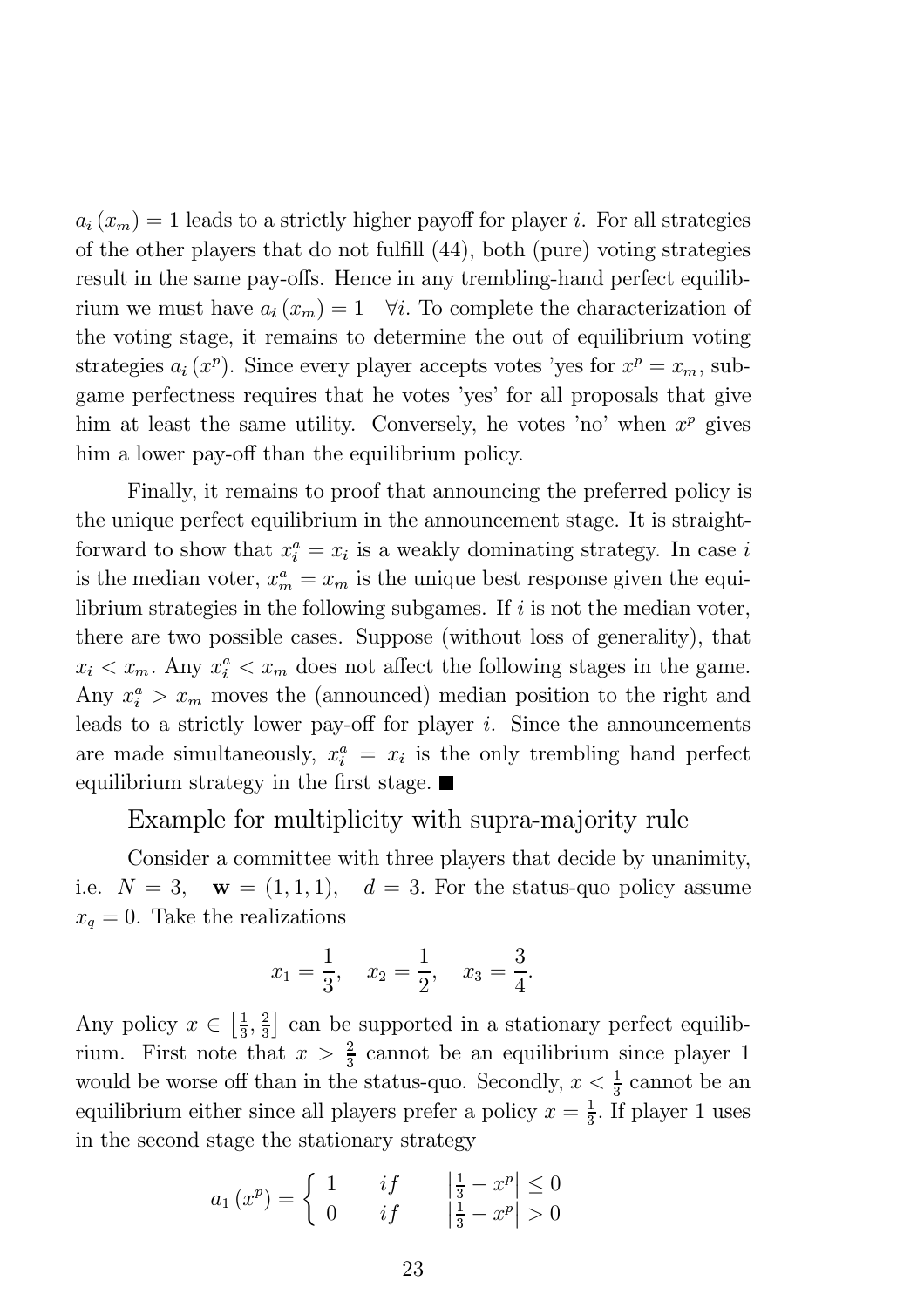$a_i(x_m) = 1$  leads to a strictly higher payoff for player *i*. For all strategies of the other players that do not fulfill  $(44)$ , both (pure) voting strategies result in the same pay-offs. Hence in any trembling-hand perfect equilibrium we must have  $a_i(x_m)=1 \quad \forall i.$  To complete the characterization of the voting stage, it remains to determine the out of equilibrium voting strategies  $a_i(x^p)$ . Since every player accepts votes 'yes for  $x^p = x_m$ , subgame perfectness requires that he votes 'yes' for all proposals that give him at least the same utility. Conversely, he votes 'no' when  $x^p$  gives him a lower pay-off than the equilibrium policy.

Finally, it remains to proof that announcing the preferred policy is the unique perfect equilibrium in the announcement stage. It is straightforward to show that  $x_i^a = x_i$  is a weakly dominating strategy. In case i is the median voter,  $x_m^a = x_m$  is the unique best response given the equilibrium strategies in the following subgames. If  $i$  is not the median voter, there are two possible cases. Suppose (without loss of generality), that  $x_i < x_m$ . Any  $x_i^a < x_m$  does not affect the following stages in the game. Any  $x_i^a > x_m$  moves the (announced) median position to the right and leads to a strictly lower pay-off for player  $i$ . Since the announcements are made simultaneously,  $x_i^a = x_i$  is the only trembling hand perfect equilibrium strategy in the first stage.  $\blacksquare$ 

### Example for multiplicity with supra-majority rule

Consider a committee with three players that decide by unanimity, i.e.  $N = 3$ ,  $\mathbf{w} = (1, 1, 1)$ ,  $d = 3$ . For the status-quo policy assume  $x_q = 0$ . Take the realizations

$$
x_1 = \frac{1}{3}
$$
,  $x_2 = \frac{1}{2}$ ,  $x_3 = \frac{3}{4}$ .

Any policy  $x \in \left[\frac{1}{3}, \frac{2}{3}\right]$  can be supported in a stationary perfect equilibrium. First note that  $x > \frac{2}{3}$  cannot be an equilibrium since player 1 would be worse off than in the status-quo. Secondly,  $x < \frac{1}{3}$  cannot be an equilibrium either since all players prefer a policy  $x = \frac{1}{3}$ . If player 1 uses in the second stage the stationary strategy

$$
a_1(x^p) = \begin{cases} 1 & if & \left|\frac{1}{3} - x^p\right| \le 0\\ 0 & if & \left|\frac{1}{3} - x^p\right| > 0 \end{cases}
$$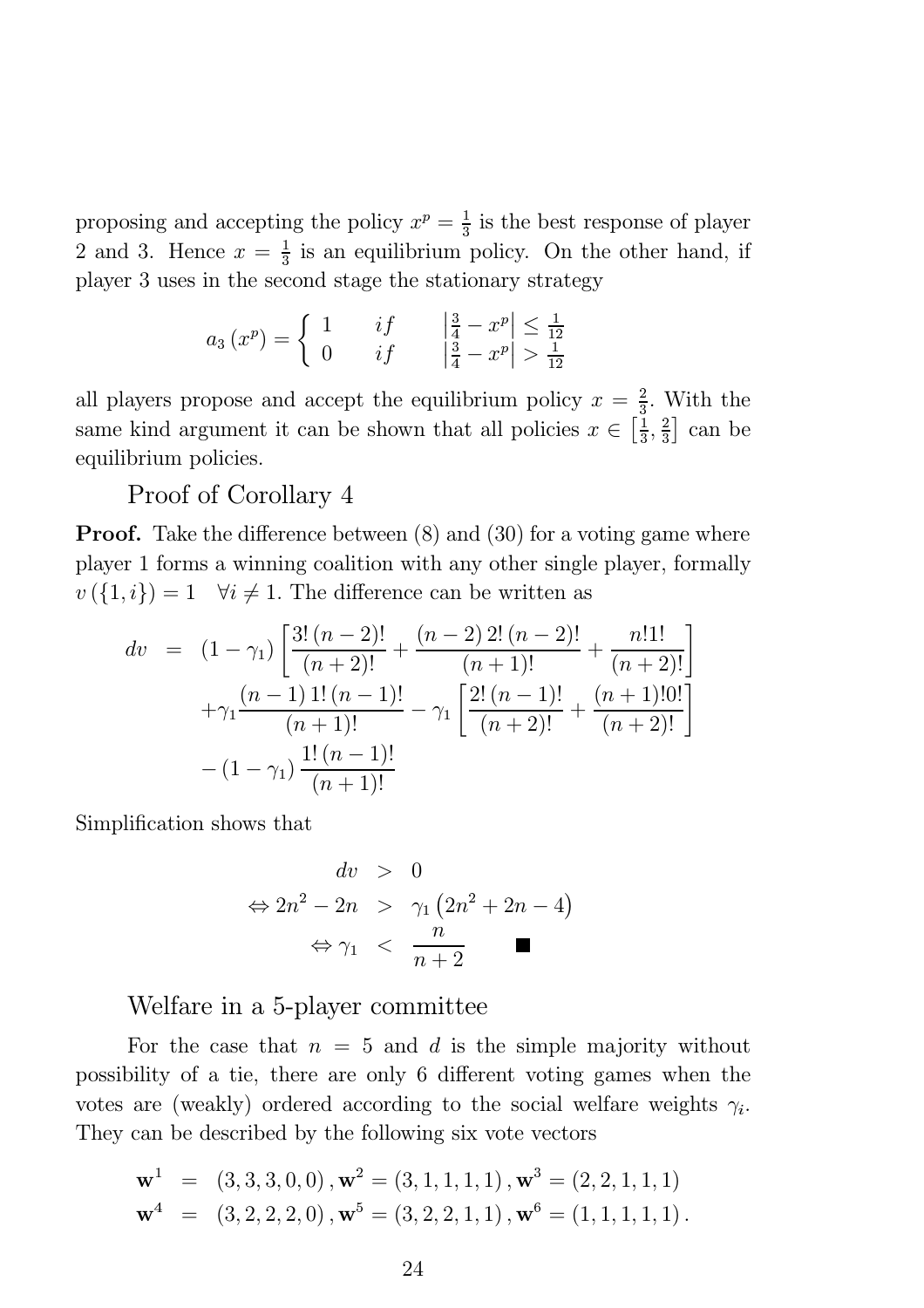proposing and accepting the policy  $x^p = \frac{1}{3}$  is the best response of player 2 and 3. Hence  $x = \frac{1}{3}$  is an equilibrium policy. On the other hand, if player 3 uses in the second stage the stationary strategy

$$
a_3(x^p) = \begin{cases} 1 & if & \left|\frac{3}{4} - x^p\right| \le \frac{1}{12} \\ 0 & if & \left|\frac{3}{4} - x^p\right| > \frac{1}{12} \end{cases}
$$

all players propose and accept the equilibrium policy  $x = \frac{2}{3}$ . With the same kind argument it can be shown that all policies  $x \in \left[\frac{1}{3}, \frac{2}{3}\right]$  can be equilibrium policies.

### Proof of Corollary 4

**Proof.** Take the difference between  $(8)$  and  $(30)$  for a voting game where player 1 forms a winning coalition with any other single player, formally  $v(\{1,i\})=1 \quad \forall i \neq 1.$  The difference can be written as

$$
dv = (1 - \gamma_1) \left[ \frac{3! (n-2)!}{(n+2)!} + \frac{(n-2) \cdot 2! (n-2)!}{(n+1)!} + \frac{n! \cdot 1!}{(n+2)!} \right] + \gamma_1 \frac{(n-1) \cdot 1! (n-1)!}{(n+1)!} - \gamma_1 \left[ \frac{2! (n-1)!}{(n+2)!} + \frac{(n+1)! \cdot 0!}{(n+2)!} \right] - (1 - \gamma_1) \frac{1! (n-1)!}{(n+1)!}
$$

Simplification shows that

$$
dv > 0
$$
  
\n
$$
\Leftrightarrow 2n^2 - 2n > \gamma_1 (2n^2 + 2n - 4)
$$
  
\n
$$
\Leftrightarrow \gamma_1 < \frac{n}{n+2}
$$

### Welfare in a 5-player committee

For the case that  $n = 5$  and d is the simple majority without possibility of a tie, there are only 6 different voting games when the votes are (weakly) ordered according to the social welfare weights  $\gamma_i$ . They can be described by the following six vote vectors

$$
\mathbf{w}^{1} = (3, 3, 3, 0, 0), \mathbf{w}^{2} = (3, 1, 1, 1, 1), \mathbf{w}^{3} = (2, 2, 1, 1, 1)
$$
  

$$
\mathbf{w}^{4} = (3, 2, 2, 2, 0), \mathbf{w}^{5} = (3, 2, 2, 1, 1), \mathbf{w}^{6} = (1, 1, 1, 1, 1).
$$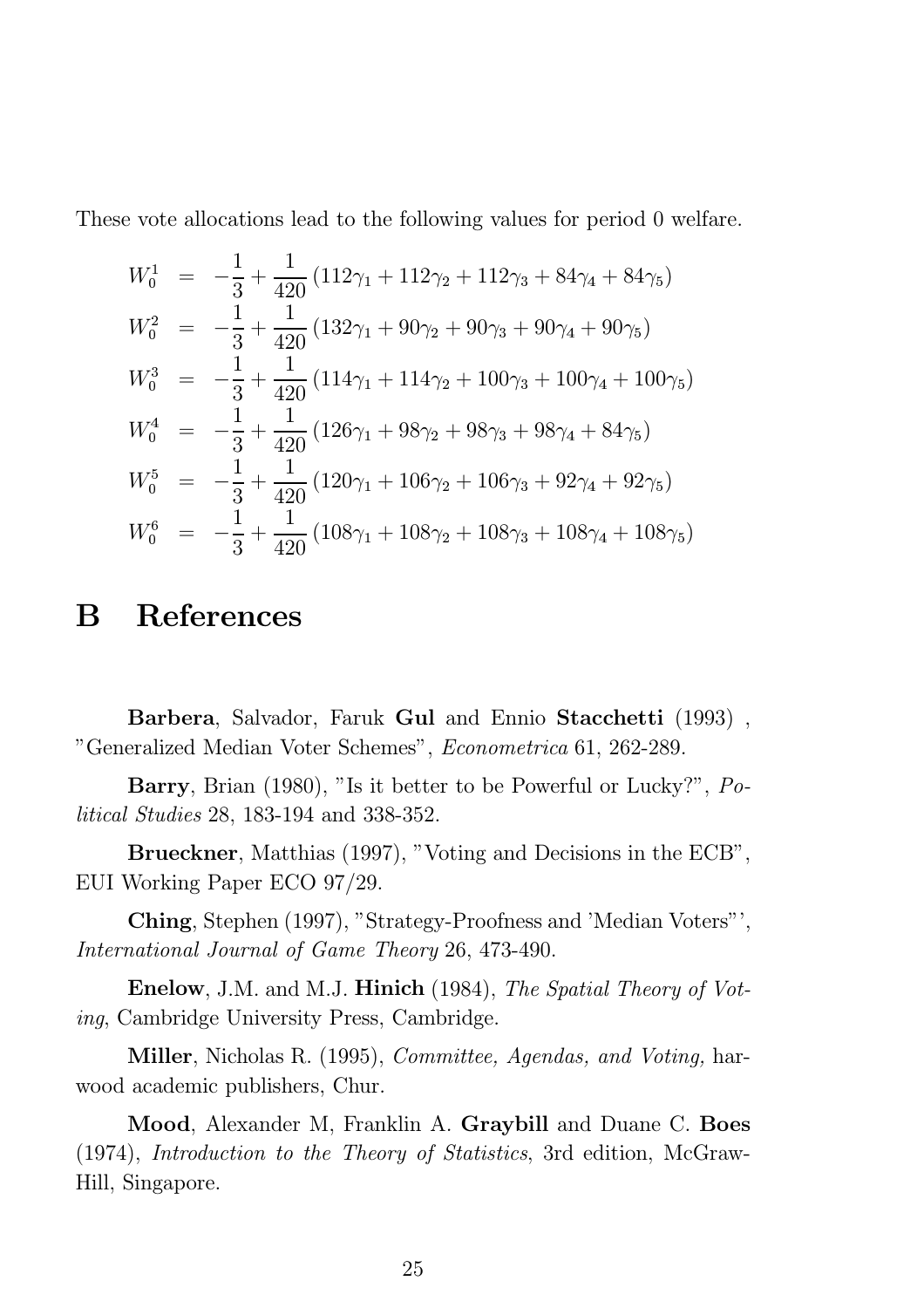These vote allocations lead to the following values for period 0 welfare.

$$
W_0^1 = -\frac{1}{3} + \frac{1}{420} (112\gamma_1 + 112\gamma_2 + 112\gamma_3 + 84\gamma_4 + 84\gamma_5)
$$
  
\n
$$
W_0^2 = -\frac{1}{3} + \frac{1}{420} (132\gamma_1 + 90\gamma_2 + 90\gamma_3 + 90\gamma_4 + 90\gamma_5)
$$
  
\n
$$
W_0^3 = -\frac{1}{3} + \frac{1}{420} (114\gamma_1 + 114\gamma_2 + 100\gamma_3 + 100\gamma_4 + 100\gamma_5)
$$
  
\n
$$
W_0^4 = -\frac{1}{3} + \frac{1}{420} (126\gamma_1 + 98\gamma_2 + 98\gamma_3 + 98\gamma_4 + 84\gamma_5)
$$
  
\n
$$
W_0^5 = -\frac{1}{3} + \frac{1}{420} (120\gamma_1 + 106\gamma_2 + 106\gamma_3 + 92\gamma_4 + 92\gamma_5)
$$
  
\n
$$
W_0^6 = -\frac{1}{3} + \frac{1}{420} (108\gamma_1 + 108\gamma_2 + 108\gamma_3 + 108\gamma_4 + 108\gamma_5)
$$

# B References

Barbera, Salvador, Faruk Gul and Ennio Stacchetti (1993) , "Generalized Median Voter Schemes", Econometrica 61, 262-289.

Barry, Brian (1980), "Is it better to be Powerful or Lucky?", Political Studies 28, 183-194 and 338-352.

Brueckner, Matthias (1997), "Voting and Decisions in the ECB", EUI Working Paper ECO 97/29.

Ching, Stephen (1997), "Strategy-Proofness and 'Median Voters"', International Journal of Game Theory 26, 473-490.

Enelow, J.M. and M.J. Hinich (1984), The Spatial Theory of Voting, Cambridge University Press, Cambridge.

Miller, Nicholas R. (1995), Committee, Agendas, and Voting, harwood academic publishers, Chur.

Mood, Alexander M, Franklin A. Graybill and Duane C. Boes (1974), Introduction to the Theory of Statistics, 3rd edition, McGraw-Hill, Singapore.